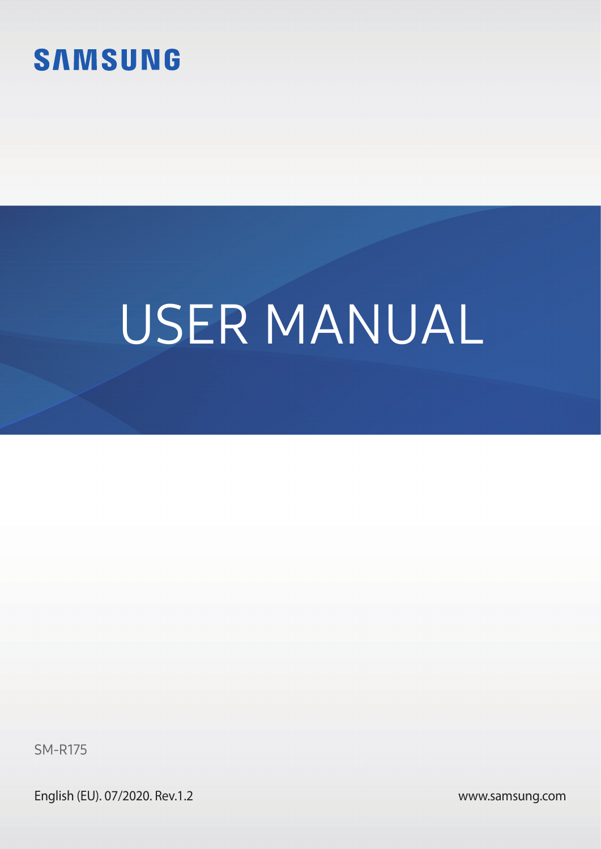

# USER MANUAL

SM-R175

English (EU). 07/2020. Rev.1.2

[www.samsung.com](http://www.samsung.com)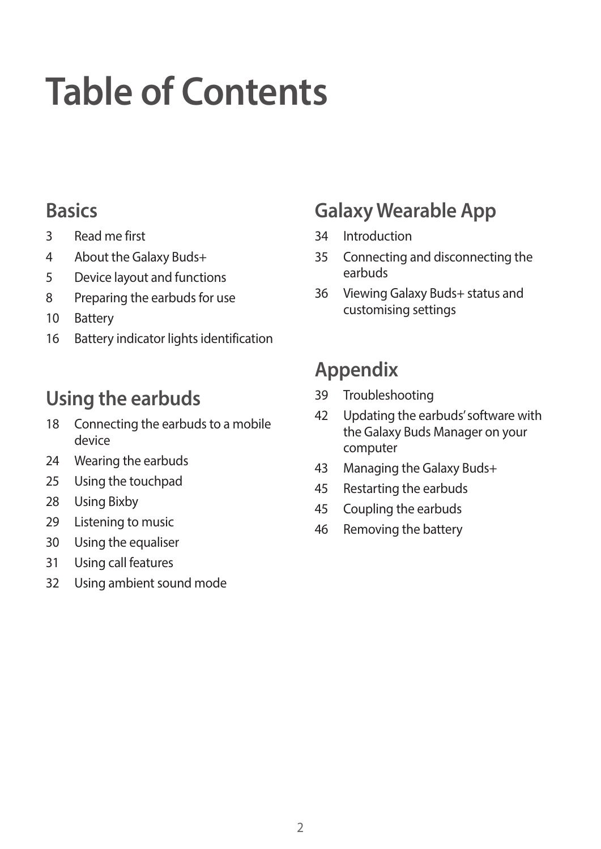# **Table of Contents**

### **[Basics](#page-2-0)**

- [Read me first](#page-2-0)
- [About the Galaxy Buds+](#page-3-0)
- [Device layout and functions](#page-4-0)
- [Preparing the earbuds for use](#page-7-0)
- [Battery](#page-9-0)
- [Battery indicator lights identification](#page-15-0)

### **[Using the earbuds](#page-17-0)**

- [Connecting the earbuds to a mobile](#page-17-0)  [device](#page-17-0)
- [Wearing the earbuds](#page-23-0)
- [Using the touchpad](#page-24-0)
- [Using Bixby](#page-27-0)
- [Listening to music](#page-28-0)
- [Using the equaliser](#page-29-0)
- [Using call features](#page-30-0)
- [Using ambient sound mode](#page-31-0)

### **[Galaxy Wearable App](#page-33-0)**

- [Introduction](#page-33-0)
- [Connecting and disconnecting the](#page-34-0)  [earbuds](#page-34-0)
- [Viewing Galaxy Buds+ status and](#page-35-0)  [customising settings](#page-35-0)

### **[Appendix](#page-38-0)**

- [Troubleshooting](#page-38-0)
- [Updating the earbuds' software with](#page-41-0)  [the Galaxy Buds Manager on your](#page-41-0)  [computer](#page-41-0)
- [Managing the Galaxy Buds+](#page-42-0)
- [Restarting the earbuds](#page-44-0)
- [Coupling the earbuds](#page-44-0)
- [Removing the battery](#page-45-0)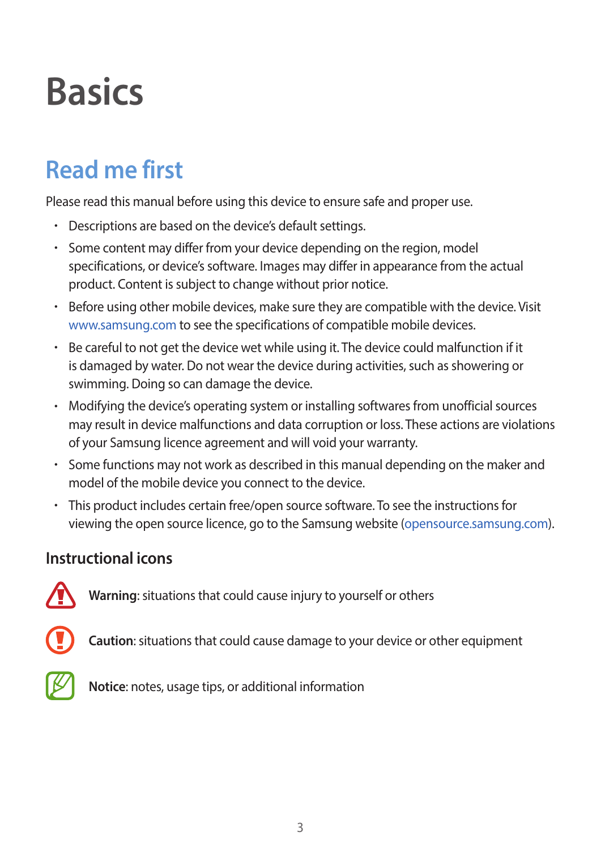# <span id="page-2-0"></span>**Basics**

## **Read me first**

Please read this manual before using this device to ensure safe and proper use.

- Descriptions are based on the device's default settings.
- Some content may differ from your device depending on the region, model specifications, or device's software. Images may differ in appearance from the actual product. Content is subject to change without prior notice.
- Before using other mobile devices, make sure they are compatible with the device. Visit [www.samsung.com](http://www.samsung.com) to see the specifications of compatible mobile devices.
- Be careful to not get the device wet while using it. The device could malfunction if it is damaged by water. Do not wear the device during activities, such as showering or swimming. Doing so can damage the device.
- Modifying the device's operating system or installing softwares from unofficial sources may result in device malfunctions and data corruption or loss. These actions are violations of your Samsung licence agreement and will void your warranty.
- Some functions may not work as described in this manual depending on the maker and model of the mobile device you connect to the device.
- This product includes certain free/open source software. To see the instructions for viewing the open source licence, go to the Samsung website ([opensource.samsung.com](http://opensource.samsung.com)).

#### **Instructional icons**



**Warning**: situations that could cause injury to yourself or others



**Caution**: situations that could cause damage to your device or other equipment



**Notice**: notes, usage tips, or additional information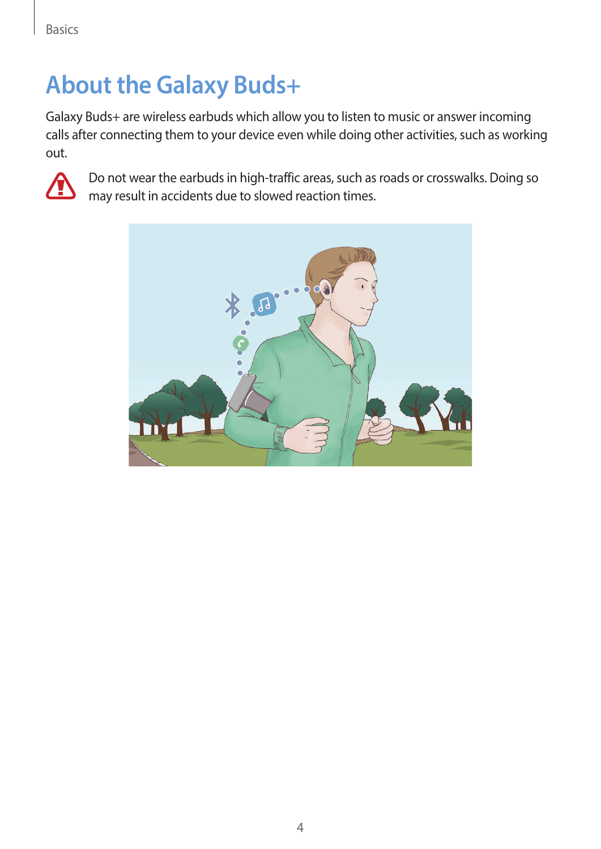### <span id="page-3-0"></span>**About the Galaxy Buds+**

Galaxy Buds+ are wireless earbuds which allow you to listen to music or answer incoming calls after connecting them to your device even while doing other activities, such as working out.



Do not wear the earbuds in high-traffic areas, such as roads or crosswalks. Doing so may result in accidents due to slowed reaction times.

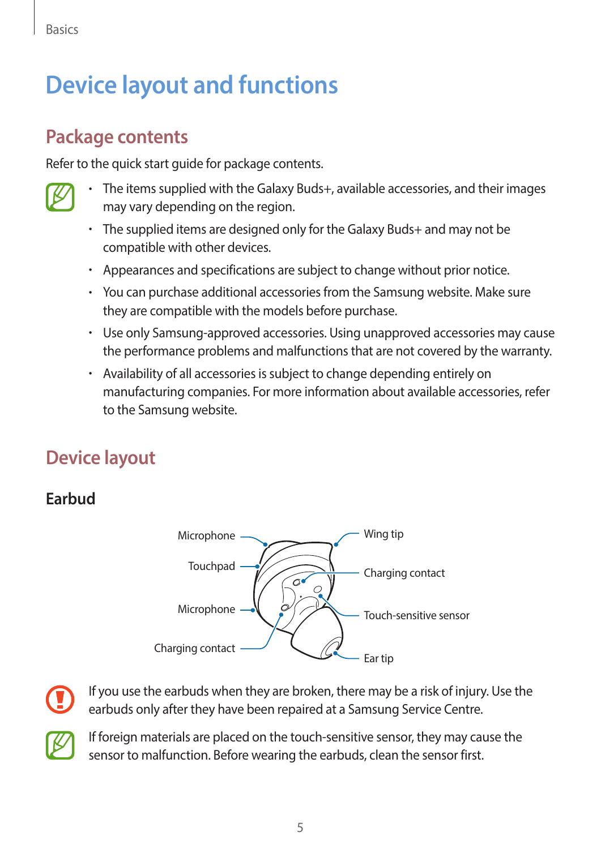<span id="page-4-0"></span>Basics

### **Device layout and functions**

### **Package contents**

Refer to the quick start guide for package contents.

- The items supplied with the Galaxy Buds+, available accessories, and their images may vary depending on the region.
	- The supplied items are designed only for the Galaxy Buds+ and may not be compatible with other devices.
	- Appearances and specifications are subject to change without prior notice.
	- You can purchase additional accessories from the Samsung website. Make sure they are compatible with the models before purchase.
	- Use only Samsung-approved accessories. Using unapproved accessories may cause the performance problems and malfunctions that are not covered by the warranty.
	- Availability of all accessories is subject to change depending entirely on manufacturing companies. For more information about available accessories, refer to the Samsung website.

### **Device layout**

#### **Earbud**





If you use the earbuds when they are broken, there may be a risk of injury. Use the earbuds only after they have been repaired at a Samsung Service Centre.



If foreign materials are placed on the touch-sensitive sensor, they may cause the sensor to malfunction. Before wearing the earbuds, clean the sensor first.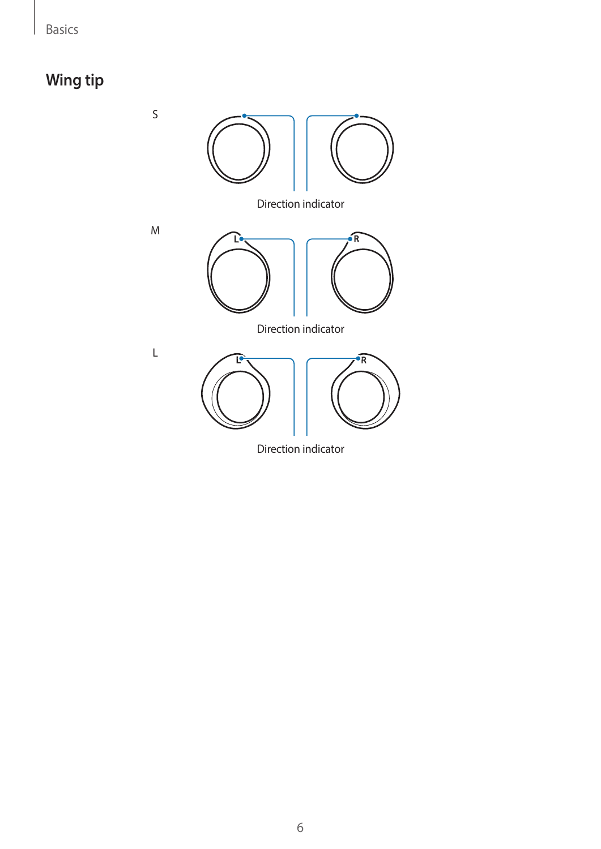### **Wing tip**

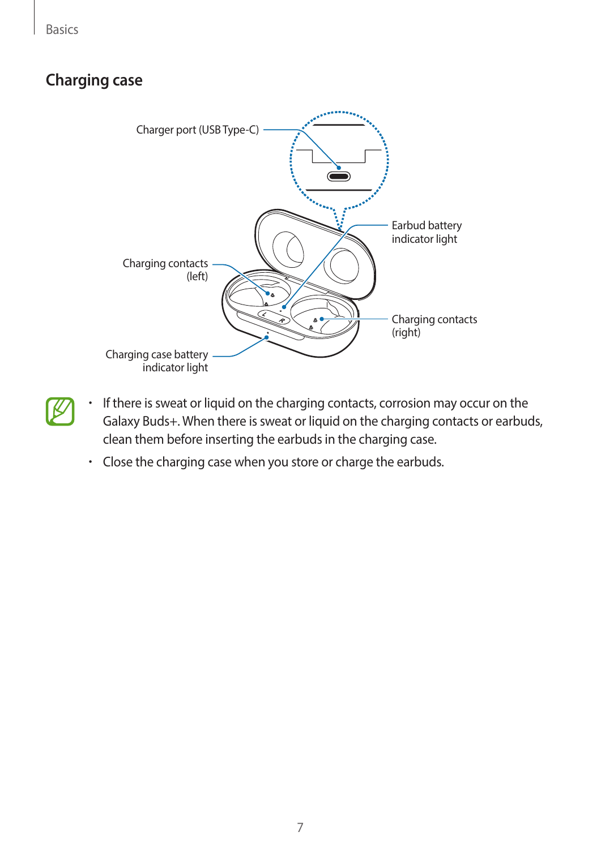Basics

#### **Charging case**



- If there is sweat or liquid on the charging contacts, corrosion may occur on the Galaxy Buds+. When there is sweat or liquid on the charging contacts or earbuds, clean them before inserting the earbuds in the charging case.
	- Close the charging case when you store or charge the earbuds.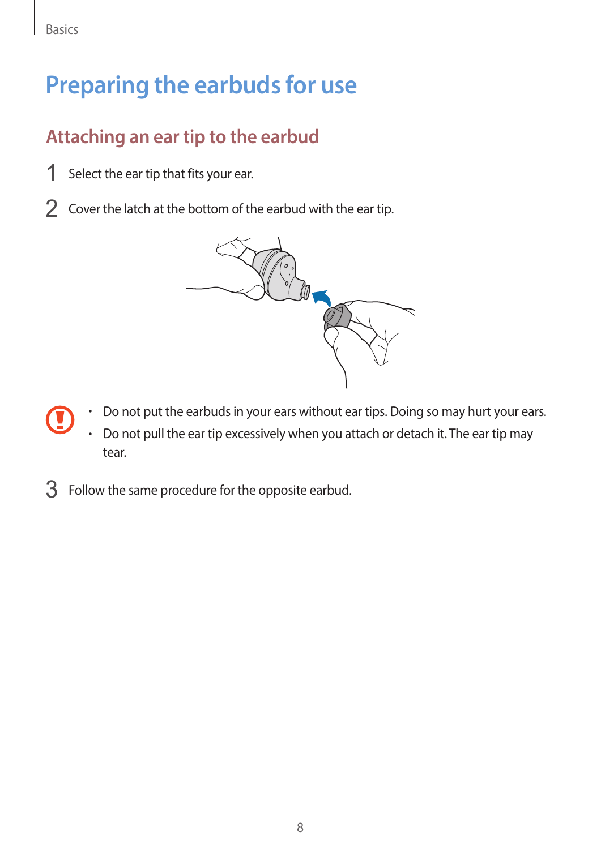## <span id="page-7-0"></span>**Preparing the earbuds for use**

### **Attaching an ear tip to the earbud**

- 1 Select the ear tip that fits your ear.
- 2 Cover the latch at the bottom of the earbud with the ear tip.



- Do not put the earbuds in your ears without ear tips. Doing so may hurt your ears.
	- Do not pull the ear tip excessively when you attach or detach it. The ear tip may tear.
- 3 Follow the same procedure for the opposite earbud.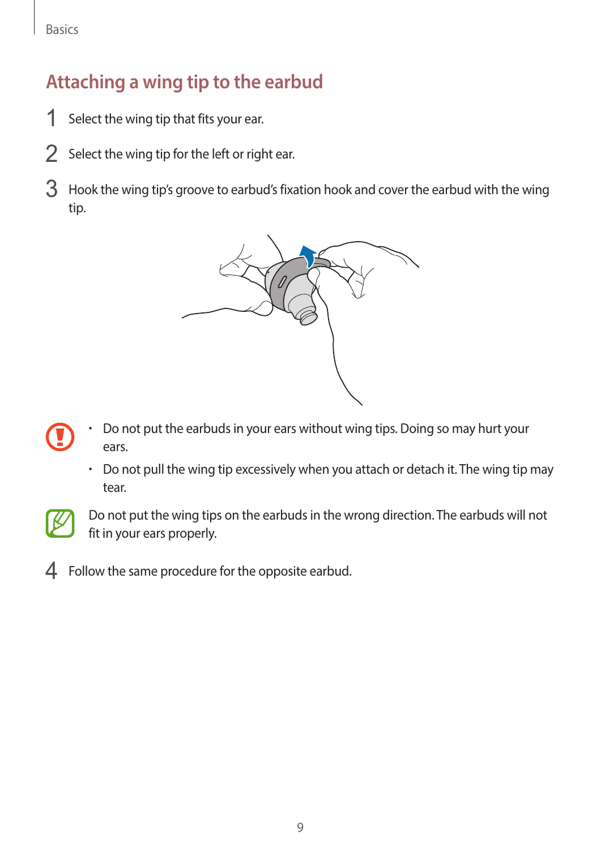### **Attaching a wing tip to the earbud**

- 1 Select the wing tip that fits your ear.
- 2 Select the wing tip for the left or right ear.
- 3 Hook the wing tip's groove to earbud's fixation hook and cover the earbud with the wing tip.



- Do not put the earbuds in your ears without wing tips. Doing so may hurt your ears.
	- Do not pull the wing tip excessively when you attach or detach it. The wing tip may tear.



Do not put the wing tips on the earbuds in the wrong direction. The earbuds will not fit in your ears properly.

4 Follow the same procedure for the opposite earbud.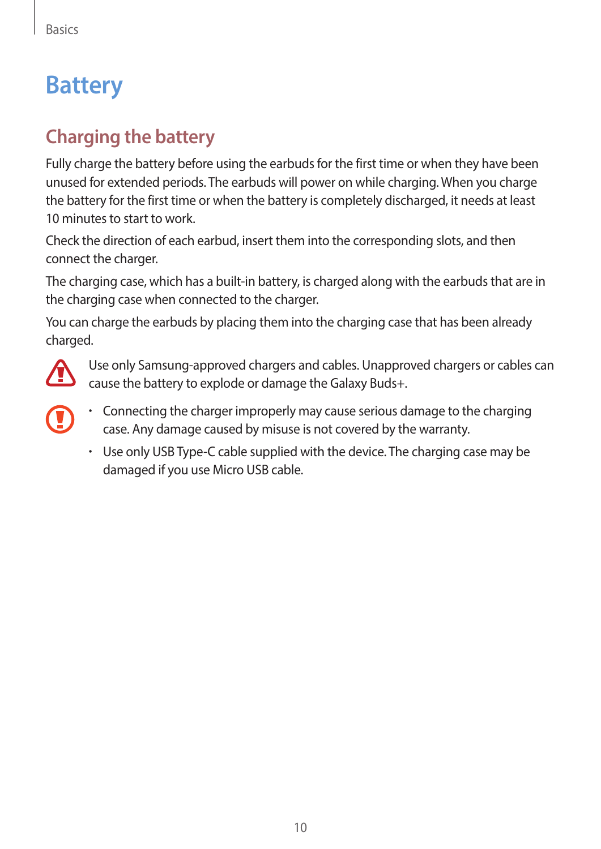# <span id="page-9-0"></span>**Battery**

### **Charging the battery**

Fully charge the battery before using the earbuds for the first time or when they have been unused for extended periods. The earbuds will power on while charging. When you charge the battery for the first time or when the battery is completely discharged, it needs at least 10 minutes to start to work.

Check the direction of each earbud, insert them into the corresponding slots, and then connect the charger.

The charging case, which has a built-in battery, is charged along with the earbuds that are in the charging case when connected to the charger.

You can charge the earbuds by placing them into the charging case that has been already charged.



Use only Samsung-approved chargers and cables. Unapproved chargers or cables can cause the battery to explode or damage the Galaxy Buds+.

- 
- Connecting the charger improperly may cause serious damage to the charging case. Any damage caused by misuse is not covered by the warranty.
- Use only USB Type-C cable supplied with the device. The charging case may be damaged if you use Micro USB cable.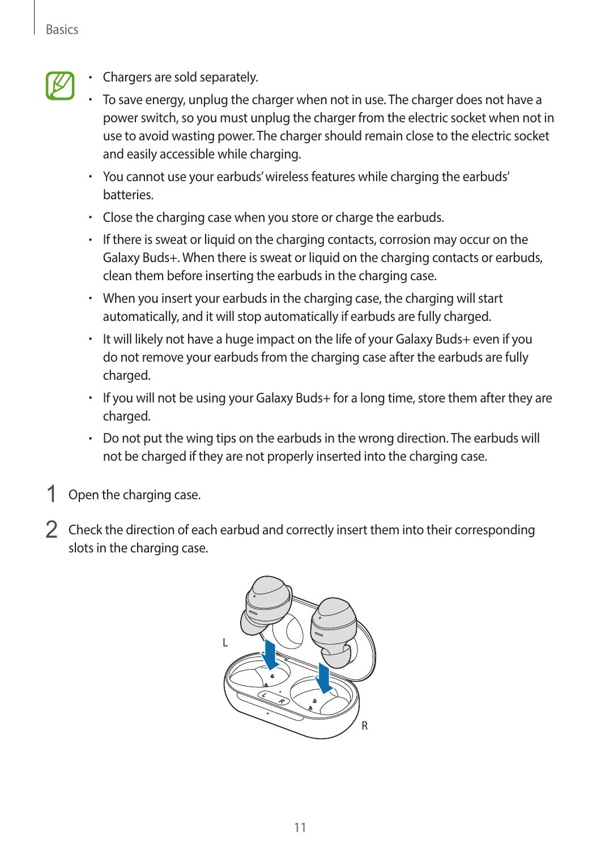• Chargers are sold separately.

- To save energy, unplug the charger when not in use. The charger does not have a power switch, so you must unplug the charger from the electric socket when not in use to avoid wasting power. The charger should remain close to the electric socket and easily accessible while charging.
- You cannot use your earbuds' wireless features while charging the earbuds' batteries.
- Close the charging case when you store or charge the earbuds.
- If there is sweat or liquid on the charging contacts, corrosion may occur on the Galaxy Buds+. When there is sweat or liquid on the charging contacts or earbuds, clean them before inserting the earbuds in the charging case.
- When you insert your earbuds in the charging case, the charging will start automatically, and it will stop automatically if earbuds are fully charged.
- It will likely not have a huge impact on the life of your Galaxy Buds+ even if you do not remove your earbuds from the charging case after the earbuds are fully charged.
- If you will not be using your Galaxy Buds+ for a long time, store them after they are charged.
- Do not put the wing tips on the earbuds in the wrong direction. The earbuds will not be charged if they are not properly inserted into the charging case.
- Open the charging case.
- 2 Check the direction of each earbud and correctly insert them into their corresponding slots in the charging case.

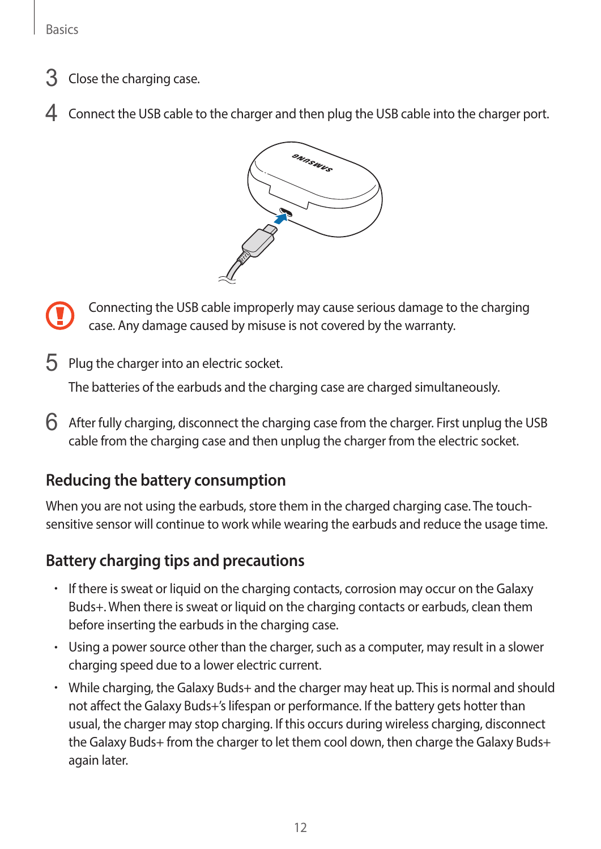- 3 Close the charging case.
- 4 Connect the USB cable to the charger and then plug the USB cable into the charger port.



Connecting the USB cable improperly may cause serious damage to the charging case. Any damage caused by misuse is not covered by the warranty.

5 Plug the charger into an electric socket.

The batteries of the earbuds and the charging case are charged simultaneously.

 $6$  After fully charging, disconnect the charging case from the charger. First unplug the USB cable from the charging case and then unplug the charger from the electric socket.

#### **Reducing the battery consumption**

When you are not using the earbuds, store them in the charged charging case. The touchsensitive sensor will continue to work while wearing the earbuds and reduce the usage time.

#### **Battery charging tips and precautions**

- If there is sweat or liquid on the charging contacts, corrosion may occur on the Galaxy Buds+. When there is sweat or liquid on the charging contacts or earbuds, clean them before inserting the earbuds in the charging case.
- Using a power source other than the charger, such as a computer, may result in a slower charging speed due to a lower electric current.
- While charging, the Galaxy Buds+ and the charger may heat up. This is normal and should not affect the Galaxy Buds+'s lifespan or performance. If the battery gets hotter than usual, the charger may stop charging. If this occurs during wireless charging, disconnect the Galaxy Buds+ from the charger to let them cool down, then charge the Galaxy Buds+ again later.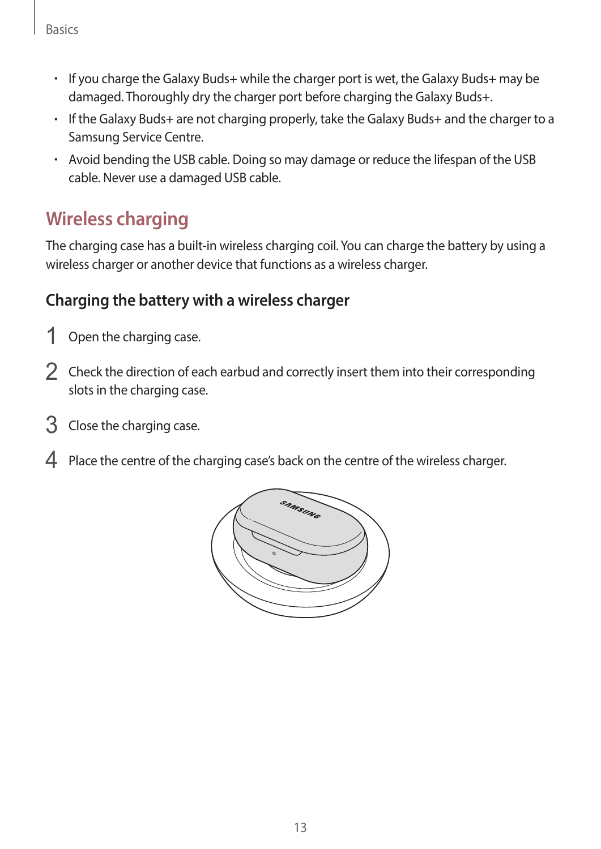Basics

- If you charge the Galaxy Buds+ while the charger port is wet, the Galaxy Buds+ may be damaged. Thoroughly dry the charger port before charging the Galaxy Buds+.
- If the Galaxy Buds+ are not charging properly, take the Galaxy Buds+ and the charger to a Samsung Service Centre.
- Avoid bending the USB cable. Doing so may damage or reduce the lifespan of the USB cable. Never use a damaged USB cable.

#### **Wireless charging**

The charging case has a built-in wireless charging coil. You can charge the battery by using a wireless charger or another device that functions as a wireless charger.

#### **Charging the battery with a wireless charger**

- 1 Open the charging case.
- 2 Check the direction of each earbud and correctly insert them into their corresponding slots in the charging case.
- 3 Close the charging case.
- 4 Place the centre of the charging case's back on the centre of the wireless charger.

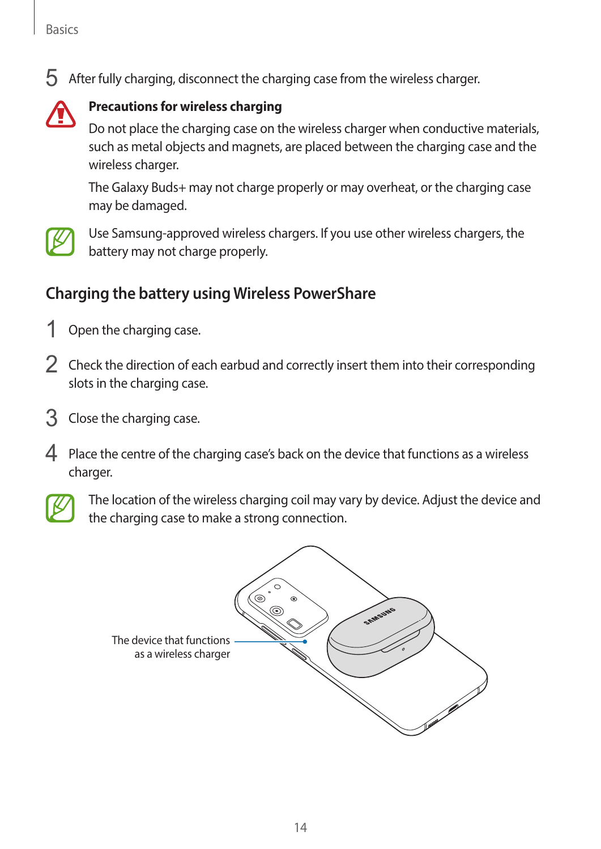$5$  After fully charging, disconnect the charging case from the wireless charger.



#### **Precautions for wireless charging**

Do not place the charging case on the wireless charger when conductive materials, such as metal objects and magnets, are placed between the charging case and the wireless charger.

The Galaxy Buds+ may not charge properly or may overheat, or the charging case may be damaged.



Use Samsung-approved wireless chargers. If you use other wireless chargers, the battery may not charge properly.

#### **Charging the battery using Wireless PowerShare**

- 1 Open the charging case.
- 2 Check the direction of each earbud and correctly insert them into their corresponding slots in the charging case.
- 3 Close the charging case.
- 4 Place the centre of the charging case's back on the device that functions as a wireless charger.



The location of the wireless charging coil may vary by device. Adjust the device and the charging case to make a strong connection.

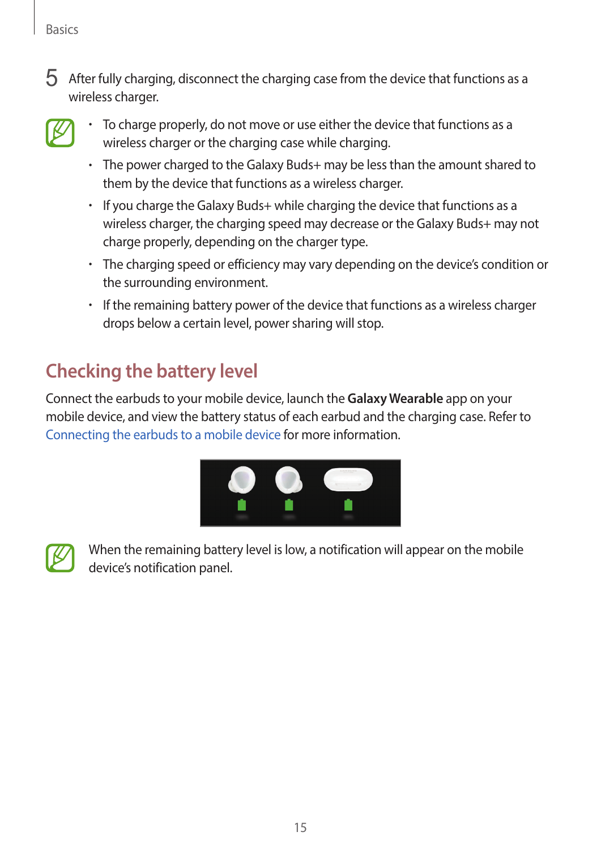$5$  After fully charging, disconnect the charging case from the device that functions as a wireless charger.



- To charge properly, do not move or use either the device that functions as a wireless charger or the charging case while charging.
- The power charged to the Galaxy Buds+ may be less than the amount shared to them by the device that functions as a wireless charger.
- If you charge the Galaxy Buds+ while charging the device that functions as a wireless charger, the charging speed may decrease or the Galaxy Buds+ may not charge properly, depending on the charger type.
- The charging speed or efficiency may vary depending on the device's condition or the surrounding environment.
- If the remaining battery power of the device that functions as a wireless charger drops below a certain level, power sharing will stop.

### **Checking the battery level**

Connect the earbuds to your mobile device, launch the **Galaxy Wearable** app on your mobile device, and view the battery status of each earbud and the charging case. Refer to [Connecting the earbuds to a mobile device](#page-17-1) for more information.





When the remaining battery level is low, a notification will appear on the mobile device's notification panel.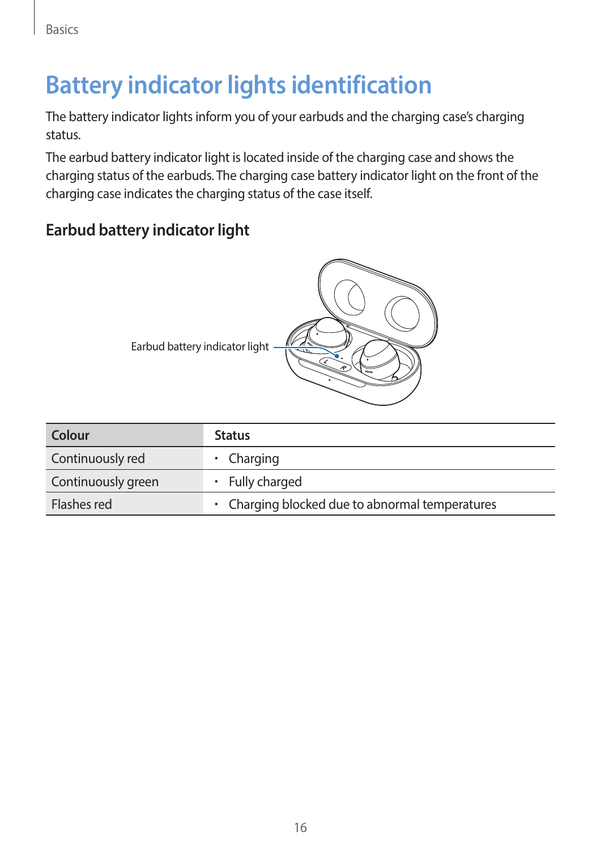## <span id="page-15-0"></span>**Battery indicator lights identification**

The battery indicator lights inform you of your earbuds and the charging case's charging status.

The earbud battery indicator light is located inside of the charging case and shows the charging status of the earbuds. The charging case battery indicator light on the front of the charging case indicates the charging status of the case itself.

#### **Earbud battery indicator light**

| Colour             | <b>Status</b>                                   |
|--------------------|-------------------------------------------------|
| Continuously red   | • Charging                                      |
| Continuously green | $\cdot$ Fully charged                           |
| Flashes red        | • Charging blocked due to abnormal temperatures |

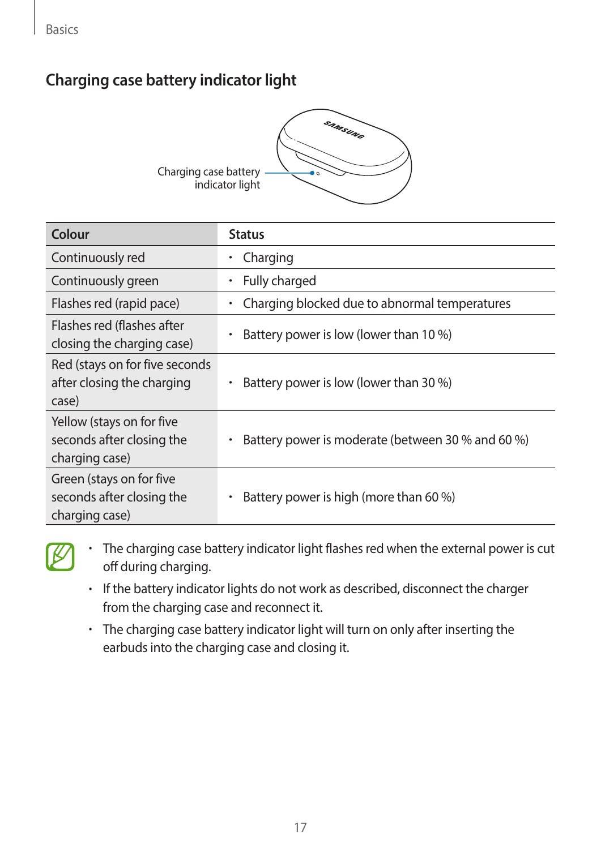#### **Charging case battery indicator light**



| Colour                                                                   | <b>Status</b>                                              |
|--------------------------------------------------------------------------|------------------------------------------------------------|
| Continuously red                                                         | Charging                                                   |
| Continuously green                                                       | Fully charged<br>٠                                         |
| Flashes red (rapid pace)                                                 | Charging blocked due to abnormal temperatures<br>$\bullet$ |
| Flashes red (flashes after<br>closing the charging case)                 | Battery power is low (lower than 10 %)                     |
| Red (stays on for five seconds<br>after closing the charging<br>case)    | Battery power is low (lower than 30 %)                     |
| Yellow (stays on for five<br>seconds after closing the<br>charging case) | Battery power is moderate (between 30 % and 60 %)          |
| Green (stays on for five<br>seconds after closing the<br>charging case)  | Battery power is high (more than 60 %)                     |



- The charging case battery indicator light flashes red when the external power is cut off during charging.
- If the battery indicator lights do not work as described, disconnect the charger from the charging case and reconnect it.
- The charging case battery indicator light will turn on only after inserting the earbuds into the charging case and closing it.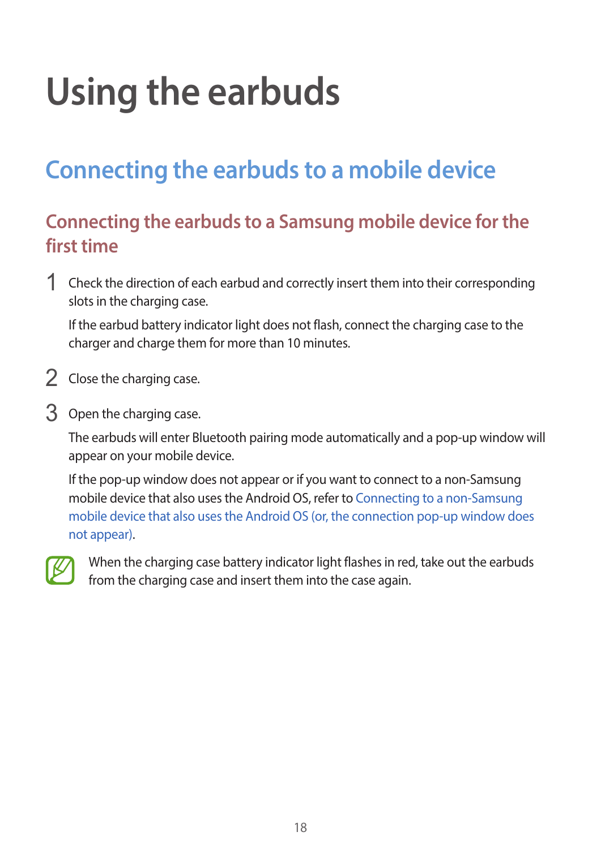# <span id="page-17-0"></span>**Using the earbuds**

## <span id="page-17-1"></span>**Connecting the earbuds to a mobile device**

#### **Connecting the earbuds to a Samsung mobile device for the first time**

1 Check the direction of each earbud and correctly insert them into their corresponding slots in the charging case.

If the earbud battery indicator light does not flash, connect the charging case to the charger and charge them for more than 10 minutes.

- 2 Close the charging case.
- 3 Open the charging case.

The earbuds will enter Bluetooth pairing mode automatically and a pop-up window will appear on your mobile device.

If the pop-up window does not appear or if you want to connect to a non-Samsung mobile device that also uses the Android OS, refer to [Connecting to a non-Samsung](#page-20-0)  [mobile device that also uses the Android OS \(or, the connection pop-up window does](#page-20-0)  [not appear\)](#page-20-0).



When the charging case battery indicator light flashes in red, take out the earbuds from the charging case and insert them into the case again.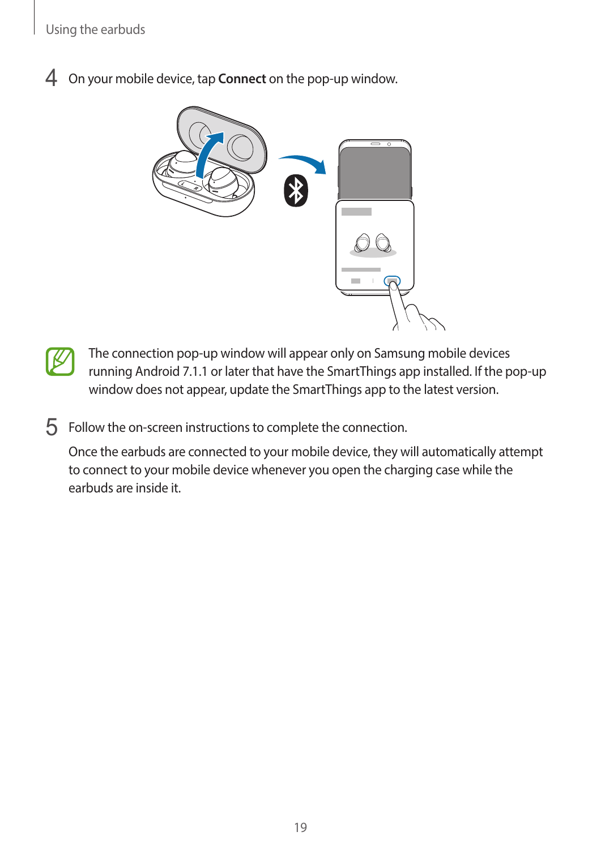4 On your mobile device, tap **Connect** on the pop-up window.





 $5$  Follow the on-screen instructions to complete the connection.

Once the earbuds are connected to your mobile device, they will automatically attempt to connect to your mobile device whenever you open the charging case while the earbuds are inside it.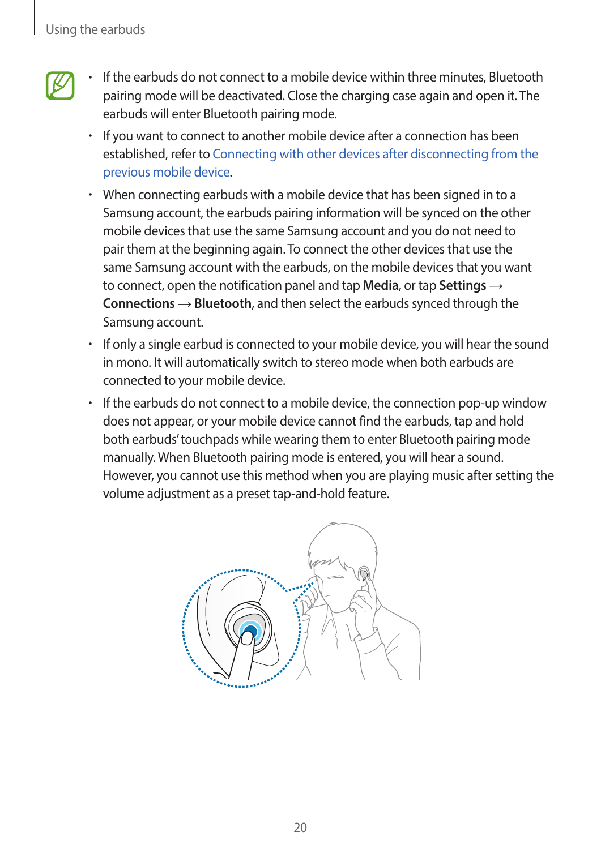- 
- If the earbuds do not connect to a mobile device within three minutes, Bluetooth pairing mode will be deactivated. Close the charging case again and open it. The earbuds will enter Bluetooth pairing mode.
- If you want to connect to another mobile device after a connection has been established, refer to [Connecting with other devices after disconnecting from the](#page-34-1)  [previous mobile device.](#page-34-1)
- When connecting earbuds with a mobile device that has been signed in to a Samsung account, the earbuds pairing information will be synced on the other mobile devices that use the same Samsung account and you do not need to pair them at the beginning again. To connect the other devices that use the same Samsung account with the earbuds, on the mobile devices that you want to connect, open the notification panel and tap **Media**, or tap **Settings** → **Connections** → **Bluetooth**, and then select the earbuds synced through the Samsung account.
- If only a single earbud is connected to your mobile device, you will hear the sound in mono. It will automatically switch to stereo mode when both earbuds are connected to your mobile device.
- If the earbuds do not connect to a mobile device, the connection pop-up window does not appear, or your mobile device cannot find the earbuds, tap and hold both earbuds' touchpads while wearing them to enter Bluetooth pairing mode manually. When Bluetooth pairing mode is entered, you will hear a sound. However, you cannot use this method when you are playing music after setting the volume adjustment as a preset tap-and-hold feature.

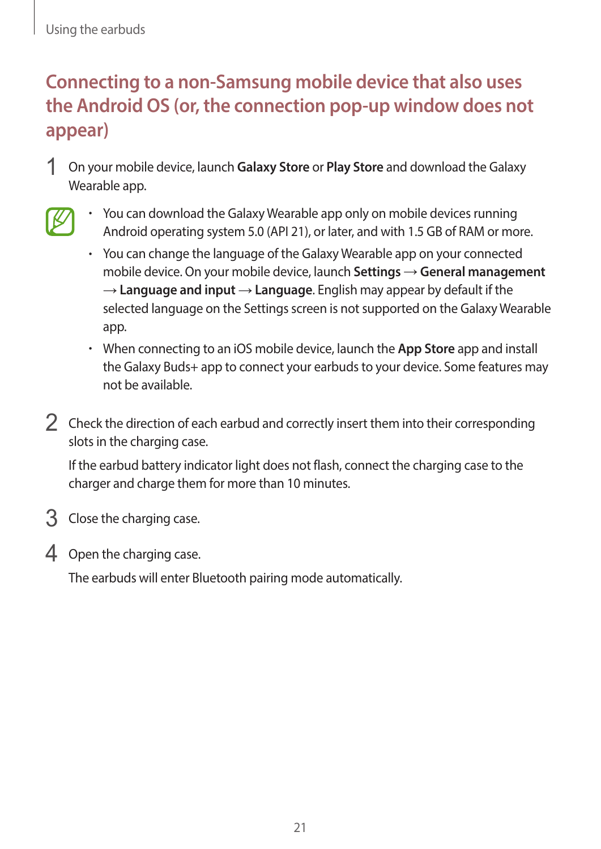### <span id="page-20-0"></span>**Connecting to a non-Samsung mobile device that also uses the Android OS (or, the connection pop-up window does not appear)**

- 1 On your mobile device, launch **Galaxy Store** or **Play Store** and download the Galaxy Wearable app.
- 
- You can download the Galaxy Wearable app only on mobile devices running Android operating system 5.0 (API 21), or later, and with 1.5 GB of RAM or more.
	- You can change the language of the Galaxy Wearable app on your connected mobile device. On your mobile device, launch **Settings** → **General management**  $\rightarrow$  **Language and input** → **Language**. English may appear by default if the selected language on the Settings screen is not supported on the Galaxy Wearable app.
	- When connecting to an iOS mobile device, launch the **App Store** app and install the Galaxy Buds+ app to connect your earbuds to your device. Some features may not be available.
- 2 Check the direction of each earbud and correctly insert them into their corresponding slots in the charging case.

If the earbud battery indicator light does not flash, connect the charging case to the charger and charge them for more than 10 minutes.

- 3 Close the charging case.
- 4 Open the charging case.

The earbuds will enter Bluetooth pairing mode automatically.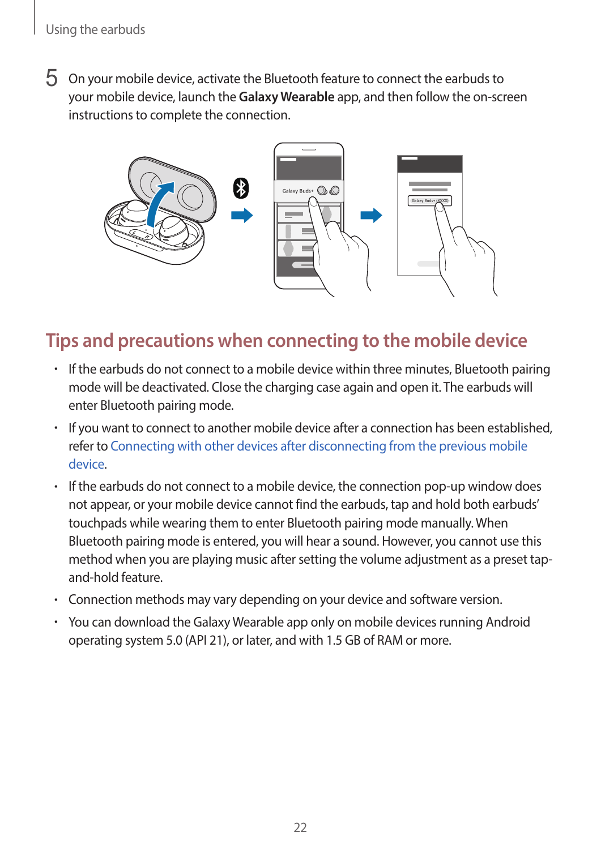5 On your mobile device, activate the Bluetooth feature to connect the earbuds to your mobile device, launch the **Galaxy Wearable** app, and then follow the on-screen instructions to complete the connection.



#### **Tips and precautions when connecting to the mobile device**

- If the earbuds do not connect to a mobile device within three minutes, Bluetooth pairing mode will be deactivated. Close the charging case again and open it. The earbuds will enter Bluetooth pairing mode.
- If you want to connect to another mobile device after a connection has been established, refer to [Connecting with other devices after disconnecting from the previous mobile](#page-34-1)  [device](#page-34-1).
- If the earbuds do not connect to a mobile device, the connection pop-up window does not appear, or your mobile device cannot find the earbuds, tap and hold both earbuds' touchpads while wearing them to enter Bluetooth pairing mode manually. When Bluetooth pairing mode is entered, you will hear a sound. However, you cannot use this method when you are playing music after setting the volume adjustment as a preset tapand-hold feature.
- Connection methods may vary depending on your device and software version.
- You can download the Galaxy Wearable app only on mobile devices running Android operating system 5.0 (API 21), or later, and with 1.5 GB of RAM or more.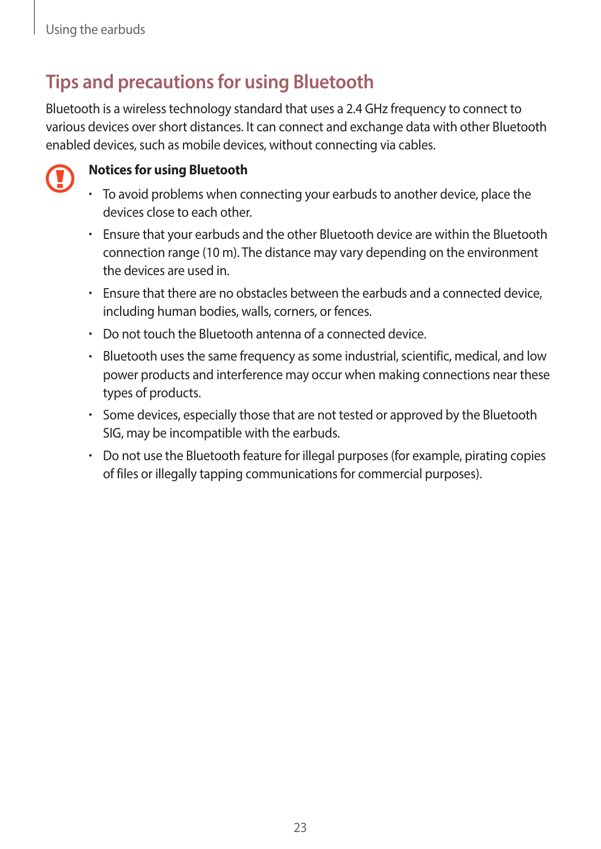### **Tips and precautions for using Bluetooth**

Bluetooth is a wireless technology standard that uses a 2.4 GHz frequency to connect to various devices over short distances. It can connect and exchange data with other Bluetooth enabled devices, such as mobile devices, without connecting via cables.



#### **Notices for using Bluetooth**

- To avoid problems when connecting your earbuds to another device, place the devices close to each other.
- Ensure that your earbuds and the other Bluetooth device are within the Bluetooth connection range (10 m). The distance may vary depending on the environment the devices are used in.
- Ensure that there are no obstacles between the earbuds and a connected device, including human bodies, walls, corners, or fences.
- Do not touch the Bluetooth antenna of a connected device.
- Bluetooth uses the same frequency as some industrial, scientific, medical, and low power products and interference may occur when making connections near these types of products.
- Some devices, especially those that are not tested or approved by the Bluetooth SIG, may be incompatible with the earbuds.
- Do not use the Bluetooth feature for illegal purposes (for example, pirating copies of files or illegally tapping communications for commercial purposes).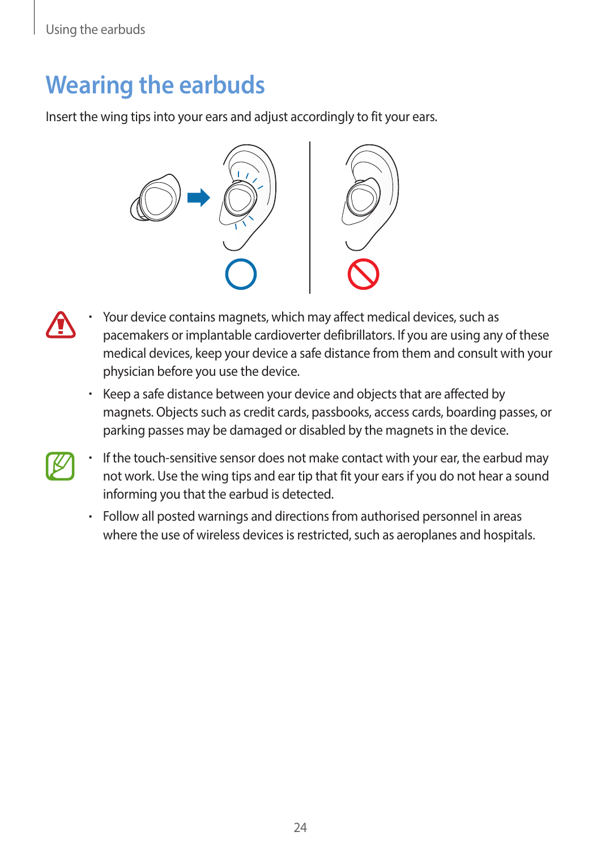### <span id="page-23-0"></span>**Wearing the earbuds**

Insert the wing tips into your ears and adjust accordingly to fit your ears.



- Your device contains magnets, which may affect medical devices, such as pacemakers or implantable cardioverter defibrillators. If you are using any of these medical devices, keep your device a safe distance from them and consult with your physician before you use the device.
	- Keep a safe distance between your device and objects that are affected by magnets. Objects such as credit cards, passbooks, access cards, boarding passes, or parking passes may be damaged or disabled by the magnets in the device.
	- If the touch-sensitive sensor does not make contact with your ear, the earbud may not work. Use the wing tips and ear tip that fit your ears if you do not hear a sound informing you that the earbud is detected.
		- Follow all posted warnings and directions from authorised personnel in areas where the use of wireless devices is restricted, such as aeroplanes and hospitals.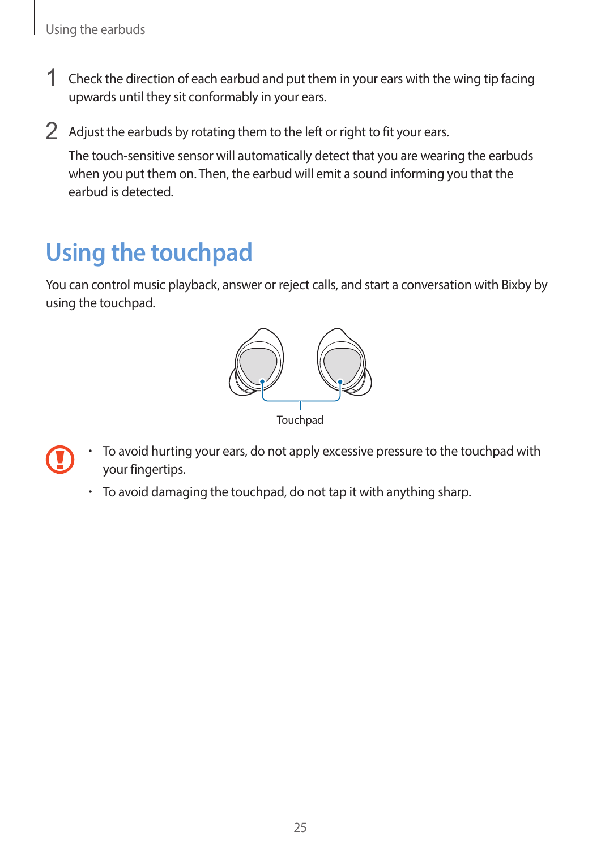- <span id="page-24-0"></span>1 Check the direction of each earbud and put them in your ears with the wing tip facing upwards until they sit conformably in your ears.
- $2$  Adjust the earbuds by rotating them to the left or right to fit your ears.

The touch-sensitive sensor will automatically detect that you are wearing the earbuds when you put them on. Then, the earbud will emit a sound informing you that the earbud is detected.

### **Using the touchpad**

You can control music playback, answer or reject calls, and start a conversation with Bixby by using the touchpad.



- To avoid hurting your ears, do not apply excessive pressure to the touchpad with your fingertips.
	- To avoid damaging the touchpad, do not tap it with anything sharp.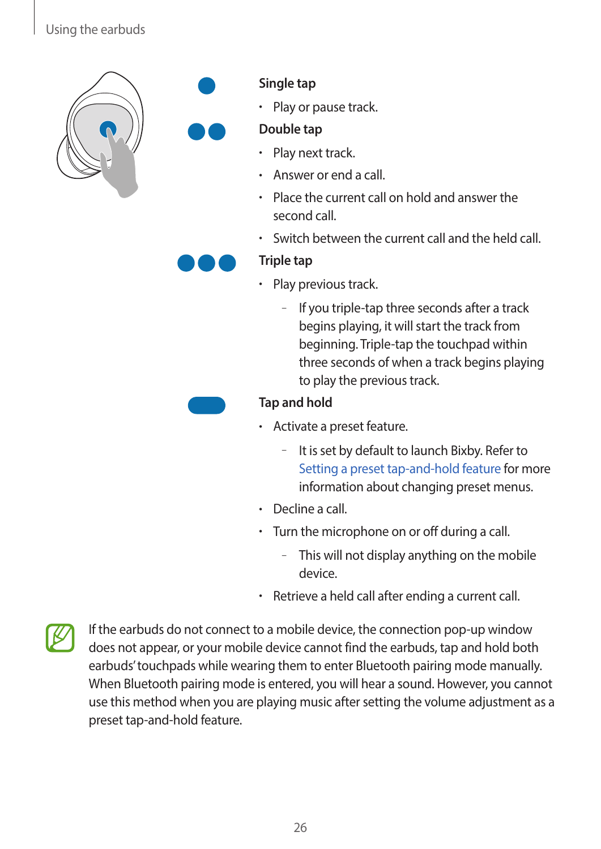#### Using the earbuds





#### **Single tap**

• Play or pause track.

#### **Double tap**

- Play next track.
- Answer or end a call.
- Place the current call on hold and answer the second call.
- Switch between the current call and the held call.

#### **Triple tap**

- Play previous track.
	- If you triple-tap three seconds after a track begins playing, it will start the track from beginning. Triple-tap the touchpad within three seconds of when a track begins playing to play the previous track.

#### **Tap and hold**

- Activate a preset feature.
	- It is set by default to launch Bixby. Refer to [Setting a preset tap-and-hold feature](#page-26-0) for more information about changing preset menus.
- Decline a call.
- Turn the microphone on or off during a call.
	- This will not display anything on the mobile device.
- Retrieve a held call after ending a current call.



If the earbuds do not connect to a mobile device, the connection pop-up window does not appear, or your mobile device cannot find the earbuds, tap and hold both earbuds' touchpads while wearing them to enter Bluetooth pairing mode manually. When Bluetooth pairing mode is entered, you will hear a sound. However, you cannot use this method when you are playing music after setting the volume adjustment as a preset tap-and-hold feature.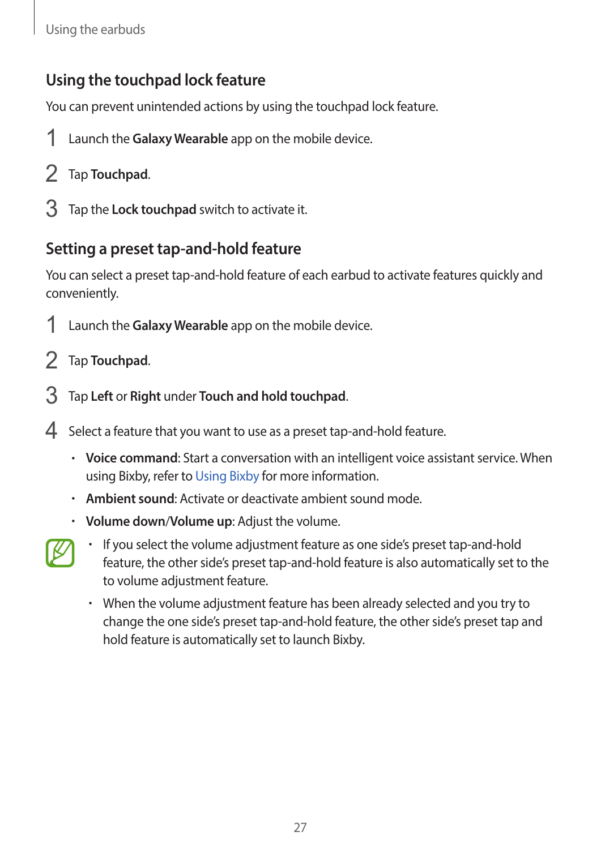#### <span id="page-26-1"></span>**Using the touchpad lock feature**

You can prevent unintended actions by using the touchpad lock feature.

- 1 Launch the **Galaxy Wearable** app on the mobile device.
- 2 Tap **Touchpad**.
- 3 Tap the **Lock touchpad** switch to activate it.

#### <span id="page-26-0"></span>**Setting a preset tap-and-hold feature**

You can select a preset tap-and-hold feature of each earbud to activate features quickly and conveniently.

- 1 Launch the **Galaxy Wearable** app on the mobile device.
- 2 Tap **Touchpad**.
- 3 Tap **Left** or **Right** under **Touch and hold touchpad**.
- 4 Select a feature that you want to use as a preset tap-and-hold feature.
	- **Voice command**: Start a conversation with an intelligent voice assistant service. When using Bixby, refer to [Using Bixby](#page-27-1) for more information.
	- **Ambient sound**: Activate or deactivate ambient sound mode.
	- **Volume down**/**Volume up**: Adjust the volume.
- 
- If you select the volume adjustment feature as one side's preset tap-and-hold feature, the other side's preset tap-and-hold feature is also automatically set to the to volume adjustment feature.
- When the volume adjustment feature has been already selected and you try to change the one side's preset tap-and-hold feature, the other side's preset tap and hold feature is automatically set to launch Bixby.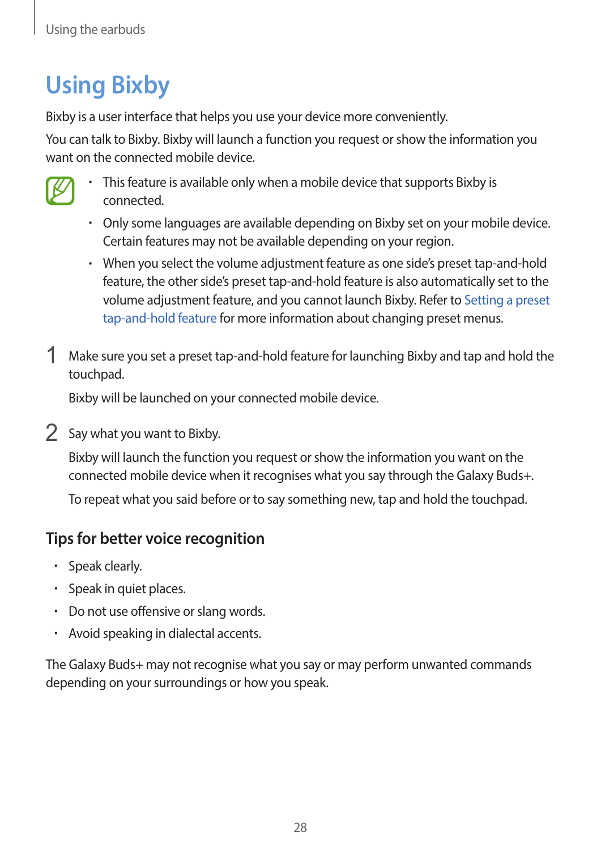# <span id="page-27-1"></span><span id="page-27-0"></span>**Using Bixby**

Bixby is a user interface that helps you use your device more conveniently.

You can talk to Bixby. Bixby will launch a function you request or show the information you want on the connected mobile device.



- This feature is available only when a mobile device that supports Bixby is connected.
- Only some languages are available depending on Bixby set on your mobile device. Certain features may not be available depending on your region.
- When you select the volume adjustment feature as one side's preset tap-and-hold feature, the other side's preset tap-and-hold feature is also automatically set to the volume adjustment feature, and you cannot launch Bixby. Refer to [Setting a preset](#page-26-0)  [tap-and-hold feature](#page-26-0) for more information about changing preset menus.
- 1 Make sure you set a preset tap-and-hold feature for launching Bixby and tap and hold the touchpad.

Bixby will be launched on your connected mobile device.

2 Say what you want to Bixby.

Bixby will launch the function you request or show the information you want on the connected mobile device when it recognises what you say through the Galaxy Buds+.

To repeat what you said before or to say something new, tap and hold the touchpad.

#### **Tips for better voice recognition**

- Speak clearly.
- Speak in quiet places.
- Do not use offensive or slang words.
- Avoid speaking in dialectal accents.

The Galaxy Buds+ may not recognise what you say or may perform unwanted commands depending on your surroundings or how you speak.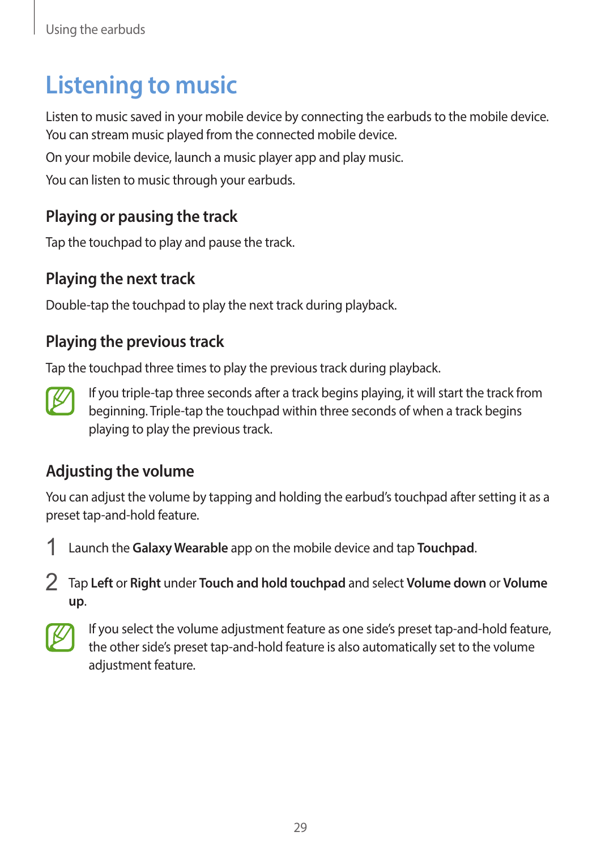### <span id="page-28-0"></span>**Listening to music**

Listen to music saved in your mobile device by connecting the earbuds to the mobile device. You can stream music played from the connected mobile device.

On your mobile device, launch a music player app and play music.

You can listen to music through your earbuds.

#### **Playing or pausing the track**

Tap the touchpad to play and pause the track.

#### **Playing the next track**

Double-tap the touchpad to play the next track during playback.

#### **Playing the previous track**

Tap the touchpad three times to play the previous track during playback.



If you triple-tap three seconds after a track begins playing, it will start the track from beginning. Triple-tap the touchpad within three seconds of when a track begins playing to play the previous track.

#### **Adjusting the volume**

You can adjust the volume by tapping and holding the earbud's touchpad after setting it as a preset tap-and-hold feature.



2 Tap **Left** or **Right** under **Touch and hold touchpad** and select **Volume down** or **Volume up**.



If you select the volume adjustment feature as one side's preset tap-and-hold feature, the other side's preset tap-and-hold feature is also automatically set to the volume adjustment feature.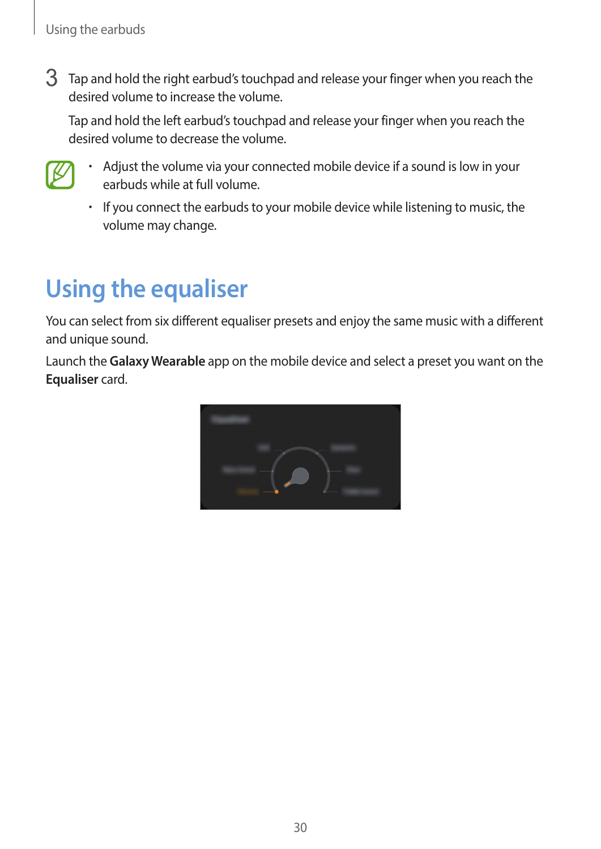<span id="page-29-0"></span>3 Tap and hold the right earbud's touchpad and release your finger when you reach the desired volume to increase the volume.

Tap and hold the left earbud's touchpad and release your finger when you reach the desired volume to decrease the volume.



- Adjust the volume via your connected mobile device if a sound is low in your earbuds while at full volume.
- If you connect the earbuds to your mobile device while listening to music, the volume may change.

# **Using the equaliser**

You can select from six different equaliser presets and enjoy the same music with a different and unique sound.

Launch the **Galaxy Wearable** app on the mobile device and select a preset you want on the **Equaliser** card.

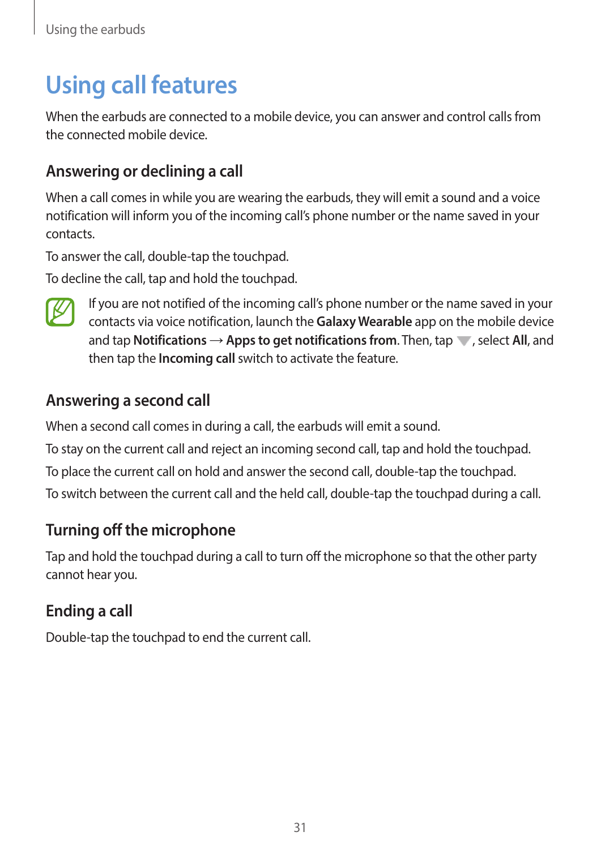## <span id="page-30-0"></span>**Using call features**

When the earbuds are connected to a mobile device, you can answer and control calls from the connected mobile device.

#### **Answering or declining a call**

When a call comes in while you are wearing the earbuds, they will emit a sound and a voice notification will inform you of the incoming call's phone number or the name saved in your contacts.

To answer the call, double-tap the touchpad.

To decline the call, tap and hold the touchpad.



If you are not notified of the incoming call's phone number or the name saved in your contacts via voice notification, launch the **Galaxy Wearable** app on the mobile device and tap **Notifications** → **Apps to get notifications from**. Then, tap  $\blacksquare$ , select **All**, and then tap the **Incoming call** switch to activate the feature.

#### **Answering a second call**

When a second call comes in during a call, the earbuds will emit a sound.

To stay on the current call and reject an incoming second call, tap and hold the touchpad.

To place the current call on hold and answer the second call, double-tap the touchpad.

To switch between the current call and the held call, double-tap the touchpad during a call.

#### **Turning off the microphone**

Tap and hold the touchpad during a call to turn off the microphone so that the other party cannot hear you.

#### **Ending a call**

Double-tap the touchpad to end the current call.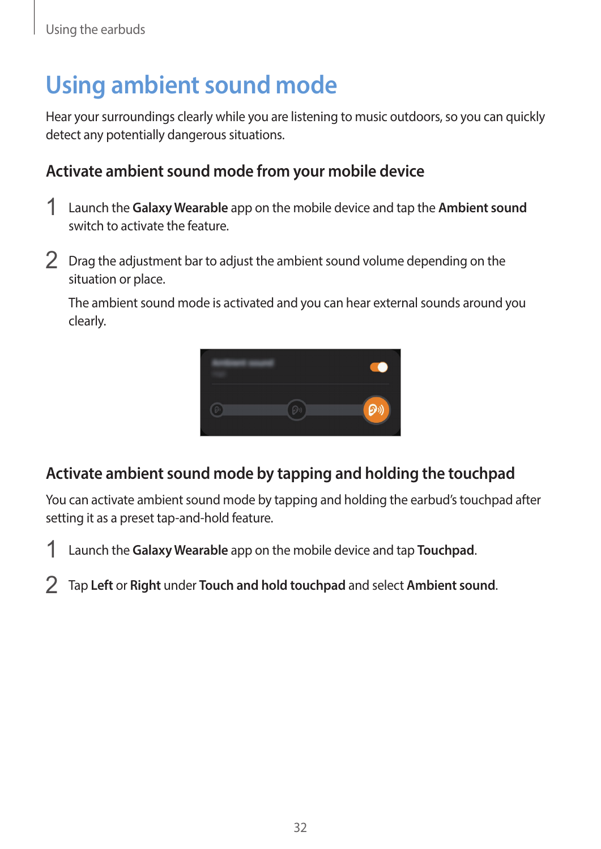### <span id="page-31-0"></span>**Using ambient sound mode**

Hear your surroundings clearly while you are listening to music outdoors, so you can quickly detect any potentially dangerous situations.

#### **Activate ambient sound mode from your mobile device**

- 1 Launch the **Galaxy Wearable** app on the mobile device and tap the **Ambient sound** switch to activate the feature.
- 2 Drag the adjustment bar to adjust the ambient sound volume depending on the situation or place.

The ambient sound mode is activated and you can hear external sounds around you clearly.



#### **Activate ambient sound mode by tapping and holding the touchpad**

You can activate ambient sound mode by tapping and holding the earbud's touchpad after setting it as a preset tap-and-hold feature.

- 1 Launch the **Galaxy Wearable** app on the mobile device and tap **Touchpad**.
- 2 Tap **Left** or **Right** under **Touch and hold touchpad** and select **Ambient sound**.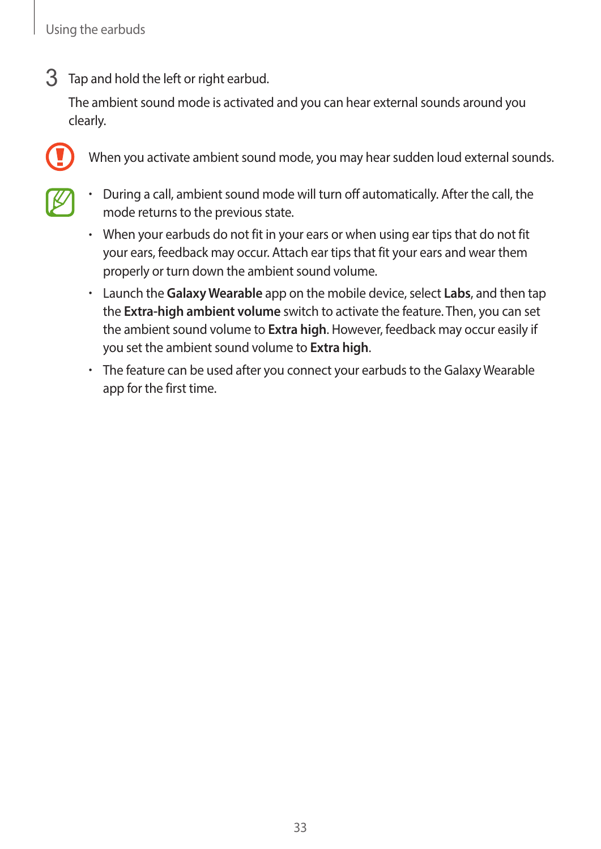3 Tap and hold the left or right earbud.

The ambient sound mode is activated and you can hear external sounds around you clearly.



When you activate ambient sound mode, you may hear sudden loud external sounds.

- 
- During a call, ambient sound mode will turn off automatically. After the call, the mode returns to the previous state.
- When your earbuds do not fit in your ears or when using ear tips that do not fit your ears, feedback may occur. Attach ear tips that fit your ears and wear them properly or turn down the ambient sound volume.
- Launch the **Galaxy Wearable** app on the mobile device, select **Labs**, and then tap the **Extra-high ambient volume** switch to activate the feature. Then, you can set the ambient sound volume to **Extra high**. However, feedback may occur easily if you set the ambient sound volume to **Extra high**.
- The feature can be used after you connect your earbuds to the Galaxy Wearable app for the first time.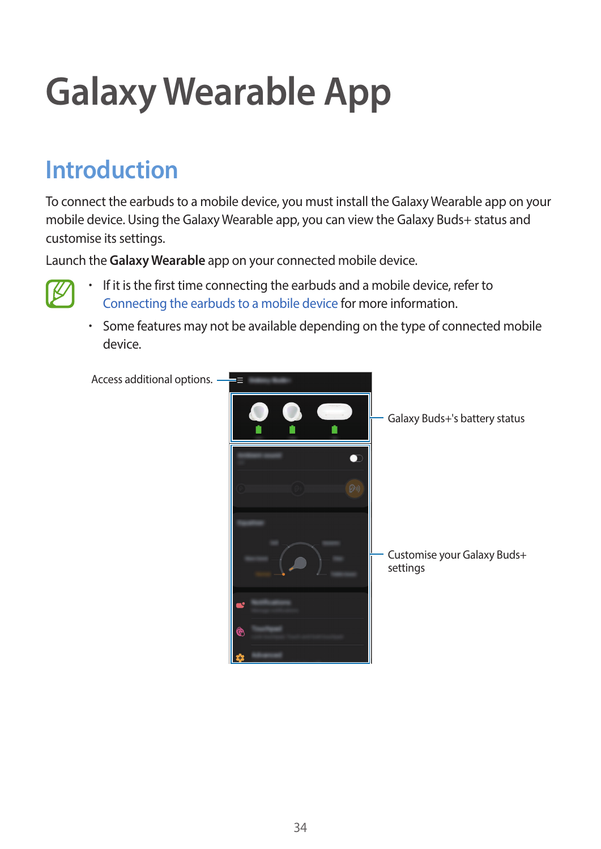# <span id="page-33-0"></span>**Galaxy Wearable App**

### **Introduction**

To connect the earbuds to a mobile device, you must install the Galaxy Wearable app on your mobile device. Using the Galaxy Wearable app, you can view the Galaxy Buds+ status and customise its settings.

Launch the **Galaxy Wearable** app on your connected mobile device.



- If it is the first time connecting the earbuds and a mobile device, refer to [Connecting the earbuds to a mobile device](#page-17-1) for more information.
- Some features may not be available depending on the type of connected mobile device.

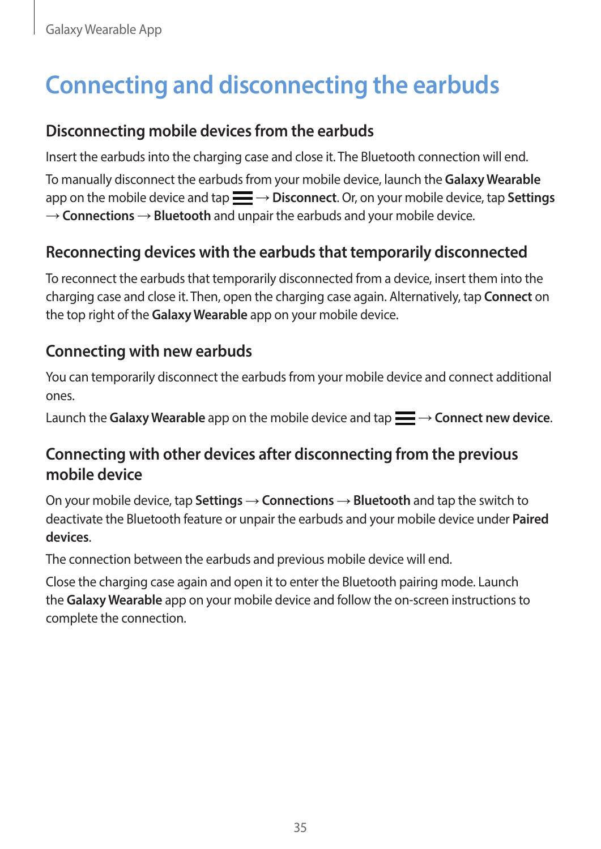# <span id="page-34-0"></span>**Connecting and disconnecting the earbuds**

#### **Disconnecting mobile devices from the earbuds**

Insert the earbuds into the charging case and close it. The Bluetooth connection will end.

To manually disconnect the earbuds from your mobile device, launch the **Galaxy Wearable** app on the mobile device and tap  $\equiv \rightarrow$  Disconnect. Or, on your mobile device, tap Settings  $\rightarrow$  **Connections**  $\rightarrow$  **Bluetooth** and unpair the earbuds and your mobile device.

#### **Reconnecting devices with the earbuds that temporarily disconnected**

To reconnect the earbuds that temporarily disconnected from a device, insert them into the charging case and close it. Then, open the charging case again. Alternatively, tap **Connect** on the top right of the **Galaxy Wearable** app on your mobile device.

#### **Connecting with new earbuds**

You can temporarily disconnect the earbuds from your mobile device and connect additional ones.

Launch the Galaxy Wearable app on the mobile device and tap  $\equiv \rightarrow$  Connect new device.

#### <span id="page-34-1"></span>**Connecting with other devices after disconnecting from the previous mobile device**

On your mobile device, tap **Settings** → **Connections** → **Bluetooth** and tap the switch to deactivate the Bluetooth feature or unpair the earbuds and your mobile device under **Paired devices**.

The connection between the earbuds and previous mobile device will end.

Close the charging case again and open it to enter the Bluetooth pairing mode. Launch the **Galaxy Wearable** app on your mobile device and follow the on-screen instructions to complete the connection.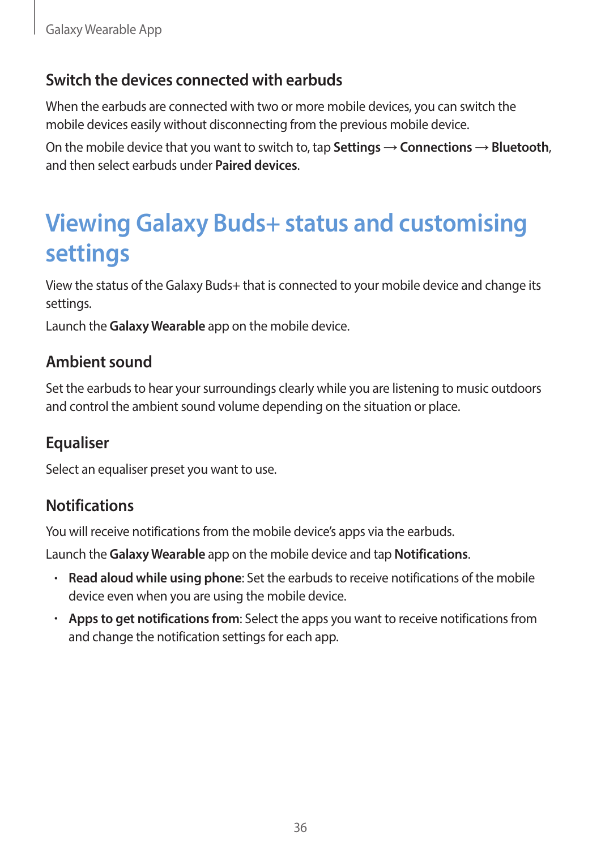#### <span id="page-35-0"></span>**Switch the devices connected with earbuds**

When the earbuds are connected with two or more mobile devices, you can switch the mobile devices easily without disconnecting from the previous mobile device.

On the mobile device that you want to switch to, tap **Settings**  $\rightarrow$  **Connections**  $\rightarrow$  **Bluetooth**, and then select earbuds under **Paired devices**.

### **Viewing Galaxy Buds+ status and customising settings**

View the status of the Galaxy Buds+ that is connected to your mobile device and change its settings.

Launch the **Galaxy Wearable** app on the mobile device.

#### **Ambient sound**

Set the earbuds to hear your surroundings clearly while you are listening to music outdoors and control the ambient sound volume depending on the situation or place.

#### **Equaliser**

Select an equaliser preset you want to use.

#### **Notifications**

You will receive notifications from the mobile device's apps via the earbuds.

Launch the **Galaxy Wearable** app on the mobile device and tap **Notifications**.

- **Read aloud while using phone**: Set the earbuds to receive notifications of the mobile device even when you are using the mobile device.
- **Apps to get notifications from**: Select the apps you want to receive notifications from and change the notification settings for each app.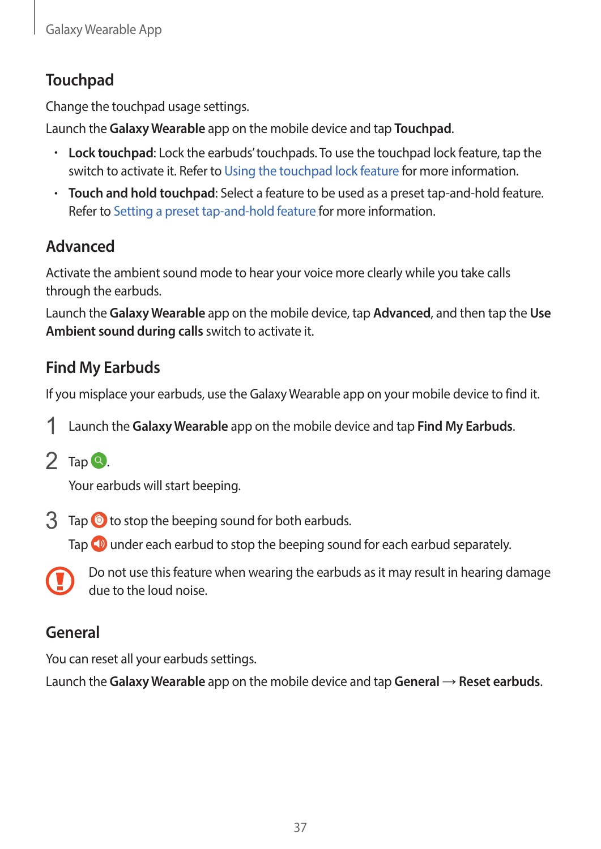#### **Touchpad**

Change the touchpad usage settings.

Launch the **Galaxy Wearable** app on the mobile device and tap **Touchpad**.

- **Lock touchpad**: Lock the earbuds' touchpads. To use the touchpad lock feature, tap the switch to activate it. Refer to [Using the touchpad lock feature](#page-26-1) for more information.
- **Touch and hold touchpad**: Select a feature to be used as a preset tap-and-hold feature. Refer to [Setting a preset tap-and-hold feature](#page-26-0) for more information.

### **Advanced**

Activate the ambient sound mode to hear your voice more clearly while you take calls through the earbuds.

Launch the **Galaxy Wearable** app on the mobile device, tap **Advanced**, and then tap the **Use Ambient sound during calls** switch to activate it.

#### **Find My Earbuds**

If you misplace your earbuds, use the Galaxy Wearable app on your mobile device to find it.

- 1 Launch the **Galaxy Wearable** app on the mobile device and tap **Find My Earbuds**.
- $2$  Tap  $\Omega$ .

Your earbuds will start beeping.

 $3$  Tap  $\odot$  to stop the beeping sound for both earbuds.

Tap  $\Box$  under each earbud to stop the beeping sound for each earbud separately.



Do not use this feature when wearing the earbuds as it may result in hearing damage due to the loud noise.

#### **General**

You can reset all your earbuds settings.

Launch the **Galaxy Wearable** app on the mobile device and tap **General** → **Reset earbuds**.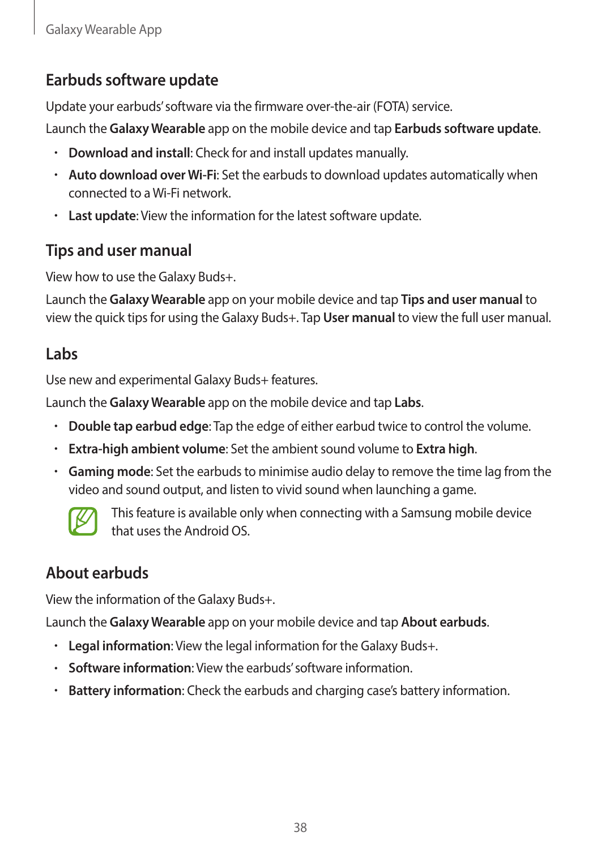#### **Earbuds software update**

Update your earbuds' software via the firmware over-the-air (FOTA) service.

Launch the **Galaxy Wearable** app on the mobile device and tap **Earbuds software update**.

- **Download and install**: Check for and install updates manually.
- **Auto download over Wi-Fi**: Set the earbuds to download updates automatically when connected to a Wi-Fi network.
- **Last update**: View the information for the latest software update.

#### **Tips and user manual**

View how to use the Galaxy Buds+.

Launch the **Galaxy Wearable** app on your mobile device and tap **Tips and user manual** to view the quick tips for using the Galaxy Buds+. Tap **User manual** to view the full user manual.

#### **Labs**

Use new and experimental Galaxy Buds+ features.

Launch the **Galaxy Wearable** app on the mobile device and tap **Labs**.

- **Double tap earbud edge**: Tap the edge of either earbud twice to control the volume.
- **Extra-high ambient volume**: Set the ambient sound volume to **Extra high**.
- **Gaming mode**: Set the earbuds to minimise audio delay to remove the time lag from the video and sound output, and listen to vivid sound when launching a game.



This feature is available only when connecting with a Samsung mobile device that uses the Android OS.

#### **About earbuds**

View the information of the Galaxy Buds+.

Launch the **Galaxy Wearable** app on your mobile device and tap **About earbuds**.

- **Legal information**: View the legal information for the Galaxy Buds+.
- **Software information**: View the earbuds' software information.
- **Battery information**: Check the earbuds and charging case's battery information.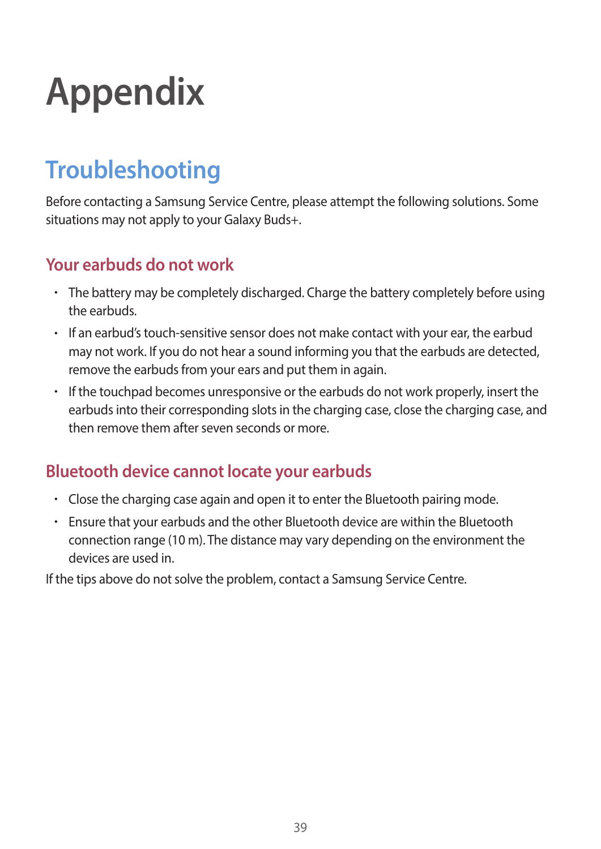# <span id="page-38-0"></span>**Appendix**

# **Troubleshooting**

Before contacting a Samsung Service Centre, please attempt the following solutions. Some situations may not apply to your Galaxy Buds+.

#### **Your earbuds do not work**

- The battery may be completely discharged. Charge the battery completely before using the earbuds.
- If an earbud's touch-sensitive sensor does not make contact with your ear, the earbud may not work. If you do not hear a sound informing you that the earbuds are detected, remove the earbuds from your ears and put them in again.
- If the touchpad becomes unresponsive or the earbuds do not work properly, insert the earbuds into their corresponding slots in the charging case, close the charging case, and then remove them after seven seconds or more.

#### **Bluetooth device cannot locate your earbuds**

- Close the charging case again and open it to enter the Bluetooth pairing mode.
- Ensure that your earbuds and the other Bluetooth device are within the Bluetooth connection range (10 m). The distance may vary depending on the environment the devices are used in.

If the tips above do not solve the problem, contact a Samsung Service Centre.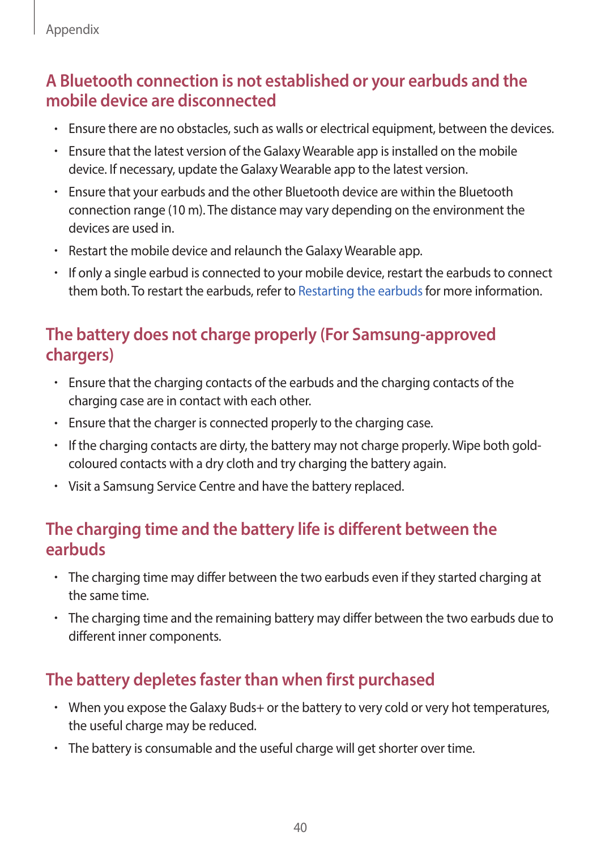#### **A Bluetooth connection is not established or your earbuds and the mobile device are disconnected**

- Ensure there are no obstacles, such as walls or electrical equipment, between the devices.
- Ensure that the latest version of the Galaxy Wearable app is installed on the mobile device. If necessary, update the Galaxy Wearable app to the latest version.
- Ensure that your earbuds and the other Bluetooth device are within the Bluetooth connection range (10 m). The distance may vary depending on the environment the devices are used in.
- Restart the mobile device and relaunch the Galaxy Wearable app.
- If only a single earbud is connected to your mobile device, restart the earbuds to connect them both. To restart the earbuds, refer to [Restarting the earbuds](#page-44-1) for more information.

#### **The battery does not charge properly (For Samsung-approved chargers)**

- Ensure that the charging contacts of the earbuds and the charging contacts of the charging case are in contact with each other.
- Ensure that the charger is connected properly to the charging case.
- If the charging contacts are dirty, the battery may not charge properly. Wipe both goldcoloured contacts with a dry cloth and try charging the battery again.
- Visit a Samsung Service Centre and have the battery replaced.

#### **The charging time and the battery life is different between the earbuds**

- The charging time may differ between the two earbuds even if they started charging at the same time.
- The charging time and the remaining battery may differ between the two earbuds due to different inner components.

#### **The battery depletes faster than when first purchased**

- When you expose the Galaxy Buds+ or the battery to very cold or very hot temperatures, the useful charge may be reduced.
- The battery is consumable and the useful charge will get shorter over time.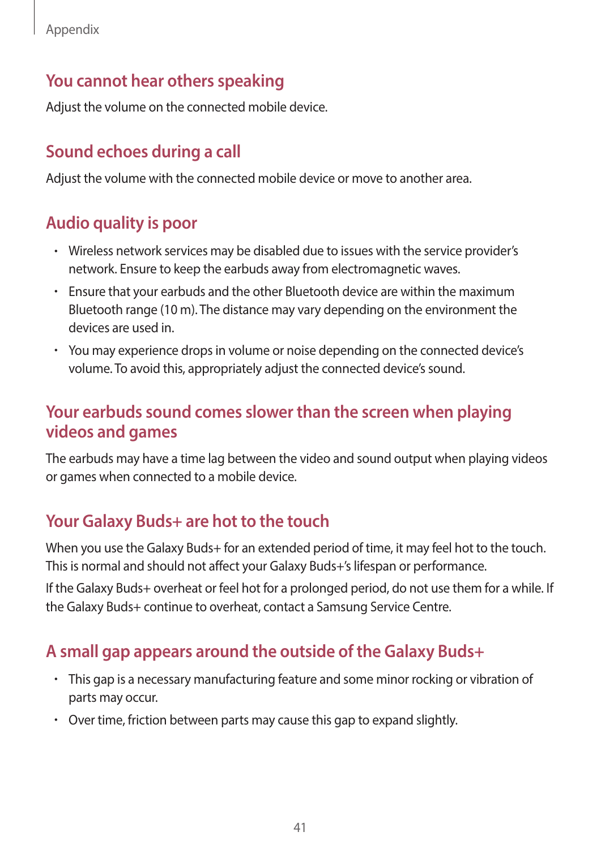#### **You cannot hear others speaking**

Adjust the volume on the connected mobile device.

#### **Sound echoes during a call**

Adjust the volume with the connected mobile device or move to another area.

#### **Audio quality is poor**

- Wireless network services may be disabled due to issues with the service provider's network. Ensure to keep the earbuds away from electromagnetic waves.
- Ensure that your earbuds and the other Bluetooth device are within the maximum Bluetooth range (10 m). The distance may vary depending on the environment the devices are used in.
- You may experience drops in volume or noise depending on the connected device's volume. To avoid this, appropriately adjust the connected device's sound.

#### **Your earbuds sound comes slower than the screen when playing videos and games**

The earbuds may have a time lag between the video and sound output when playing videos or games when connected to a mobile device.

#### **Your Galaxy Buds+ are hot to the touch**

When you use the Galaxy Buds+ for an extended period of time, it may feel hot to the touch. This is normal and should not affect your Galaxy Buds+'s lifespan or performance.

If the Galaxy Buds+ overheat or feel hot for a prolonged period, do not use them for a while. If the Galaxy Buds+ continue to overheat, contact a Samsung Service Centre.

#### **A small gap appears around the outside of the Galaxy Buds+**

- This gap is a necessary manufacturing feature and some minor rocking or vibration of parts may occur.
- Over time, friction between parts may cause this gap to expand slightly.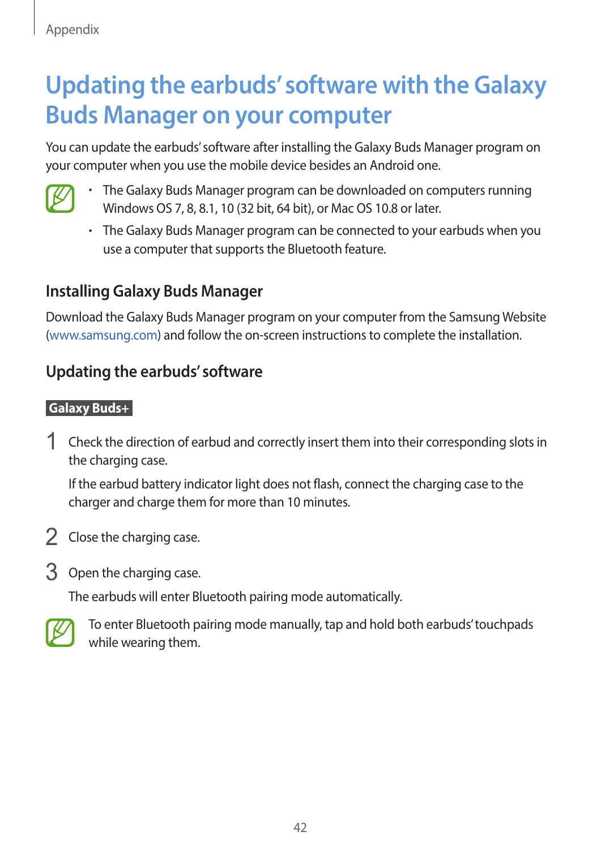## <span id="page-41-0"></span>**Updating the earbuds' software with the Galaxy Buds Manager on your computer**

You can update the earbuds' software after installing the Galaxy Buds Manager program on your computer when you use the mobile device besides an Android one.



- The Galaxy Buds Manager program can be downloaded on computers running Windows OS 7, 8, 8.1, 10 (32 bit, 64 bit), or Mac OS 10.8 or later.
- The Galaxy Buds Manager program can be connected to your earbuds when you use a computer that supports the Bluetooth feature.

#### **Installing Galaxy Buds Manager**

Download the Galaxy Buds Manager program on your computer from the Samsung Website [\(www.samsung.com\)](http://www.samsung.com) and follow the on-screen instructions to complete the installation.

#### **Updating the earbuds' software**

#### **Galaxy Buds+**

1 Check the direction of earbud and correctly insert them into their corresponding slots in the charging case.

If the earbud battery indicator light does not flash, connect the charging case to the charger and charge them for more than 10 minutes.

- 2 Close the charging case.
- 3 Open the charging case.

The earbuds will enter Bluetooth pairing mode automatically.



To enter Bluetooth pairing mode manually, tap and hold both earbuds' touchpads while wearing them.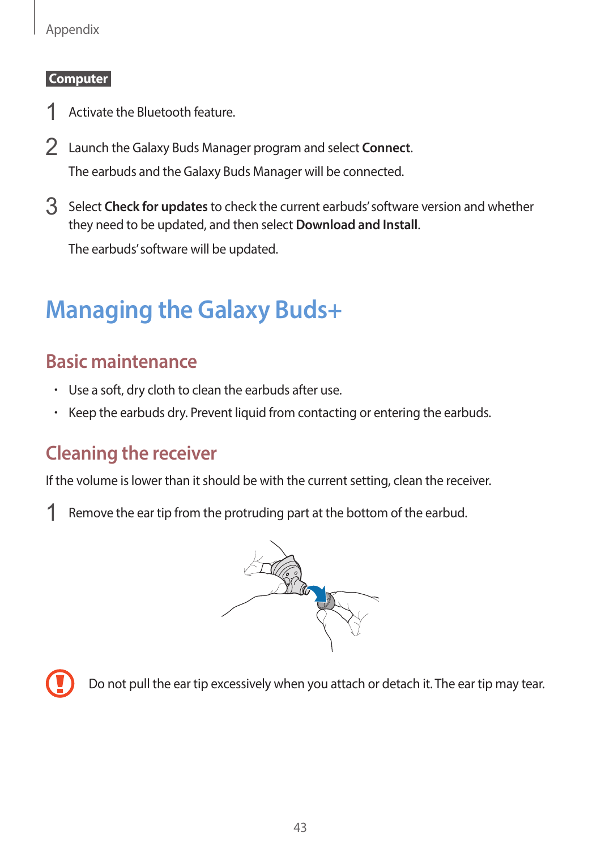#### <span id="page-42-0"></span>Appendix

#### **Computer**

- 1 Activate the Bluetooth feature.
- 2 Launch the Galaxy Buds Manager program and select **Connect**. The earbuds and the Galaxy Buds Manager will be connected.
- 3 Select **Check for updates** to check the current earbuds' software version and whether they need to be updated, and then select **Download and Install**.

The earbuds' software will be updated.

### **Managing the Galaxy Buds+**

#### **Basic maintenance**

- Use a soft, dry cloth to clean the earbuds after use.
- Keep the earbuds dry. Prevent liquid from contacting or entering the earbuds.

#### **Cleaning the receiver**

If the volume is lower than it should be with the current setting, clean the receiver.

1 Remove the ear tip from the protruding part at the bottom of the earbud.





Do not pull the ear tip excessively when you attach or detach it. The ear tip may tear.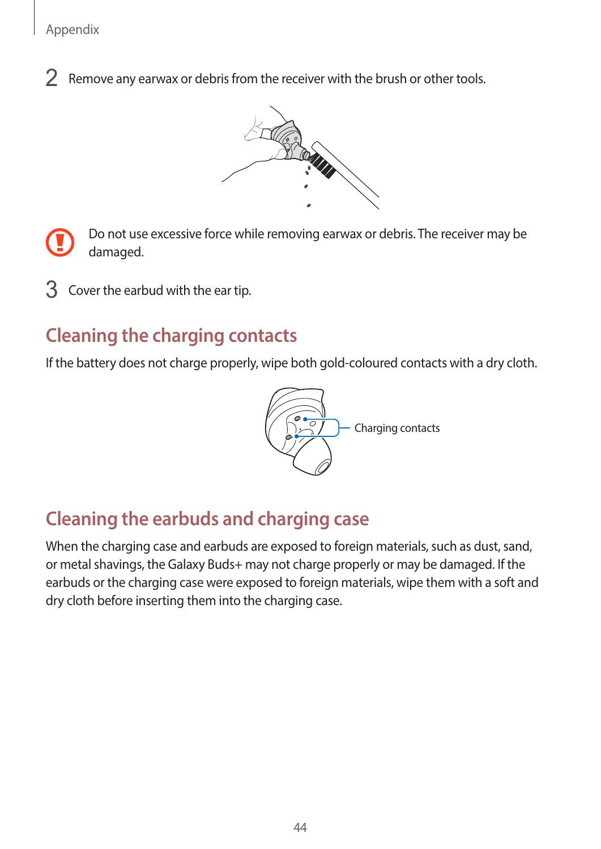2 Remove any earwax or debris from the receiver with the brush or other tools.



Do not use excessive force while removing earwax or debris. The receiver may be damaged.

Cover the earbud with the ear tip.

#### **Cleaning the charging contacts**

If the battery does not charge properly, wipe both gold-coloured contacts with a dry cloth.



### **Cleaning the earbuds and charging case**

When the charging case and earbuds are exposed to foreign materials, such as dust, sand, or metal shavings, the Galaxy Buds+ may not charge properly or may be damaged. If the earbuds or the charging case were exposed to foreign materials, wipe them with a soft and dry cloth before inserting them into the charging case.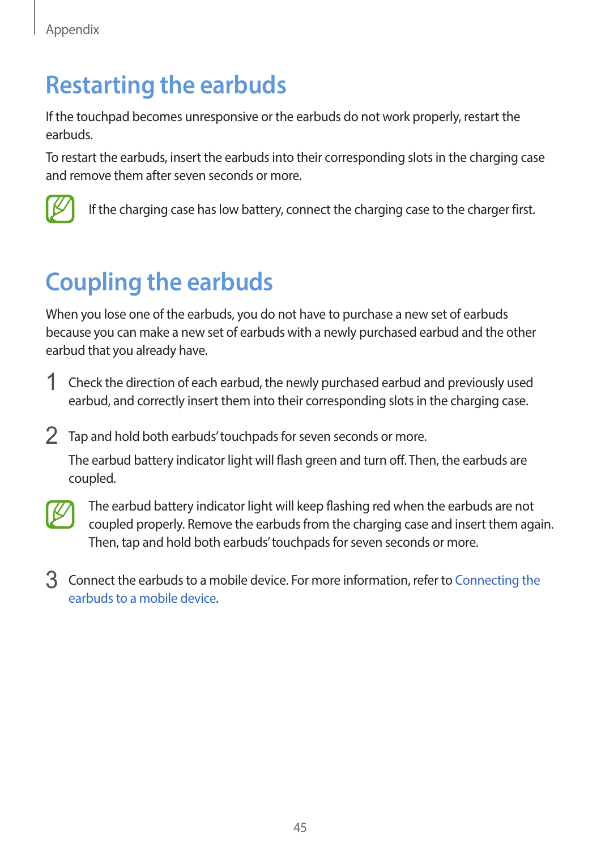### <span id="page-44-1"></span><span id="page-44-0"></span>**Restarting the earbuds**

If the touchpad becomes unresponsive or the earbuds do not work properly, restart the earbuds.

To restart the earbuds, insert the earbuds into their corresponding slots in the charging case and remove them after seven seconds or more.



If the charging case has low battery, connect the charging case to the charger first.

# **Coupling the earbuds**

When you lose one of the earbuds, you do not have to purchase a new set of earbuds because you can make a new set of earbuds with a newly purchased earbud and the other earbud that you already have.

- 1 Check the direction of each earbud, the newly purchased earbud and previously used earbud, and correctly insert them into their corresponding slots in the charging case.
- 2 Tap and hold both earbuds' touchpads for seven seconds or more.

The earbud battery indicator light will flash green and turn off. Then, the earbuds are coupled.



The earbud battery indicator light will keep flashing red when the earbuds are not coupled properly. Remove the earbuds from the charging case and insert them again. Then, tap and hold both earbuds' touchpads for seven seconds or more.

3 Connect the earbuds to a mobile device. For more information, refer to Connecting the [earbuds to a mobile device.](#page-17-1)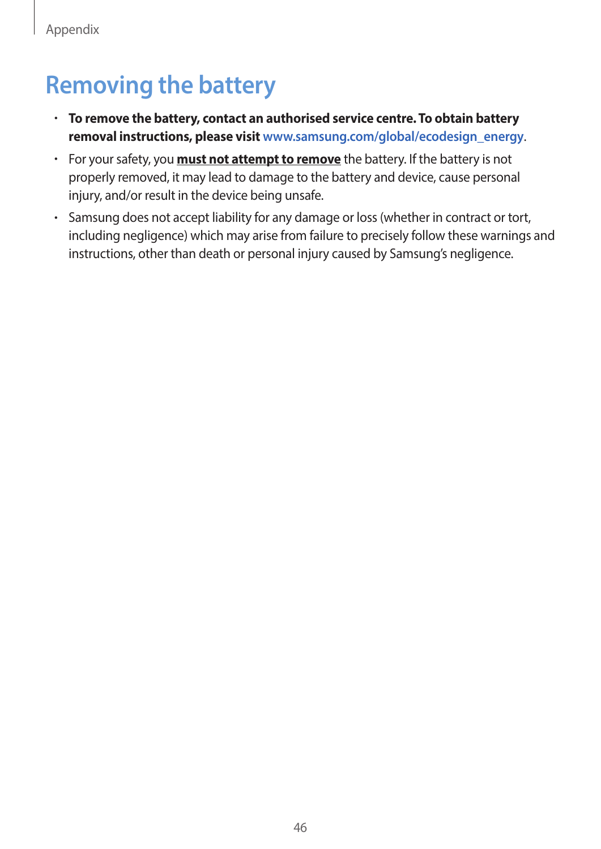# <span id="page-45-0"></span>**Removing the battery**

- **To remove the battery, contact an authorised service centre. To obtain battery removal instructions, please visit [www.samsung.com/global/ecodesign\\_energy](http://www.samsung.com/global/ecodesign_energy)**.
- For your safety, you **must not attempt to remove** the battery. If the battery is not properly removed, it may lead to damage to the battery and device, cause personal injury, and/or result in the device being unsafe.
- Samsung does not accept liability for any damage or loss (whether in contract or tort, including negligence) which may arise from failure to precisely follow these warnings and instructions, other than death or personal injury caused by Samsung's negligence.